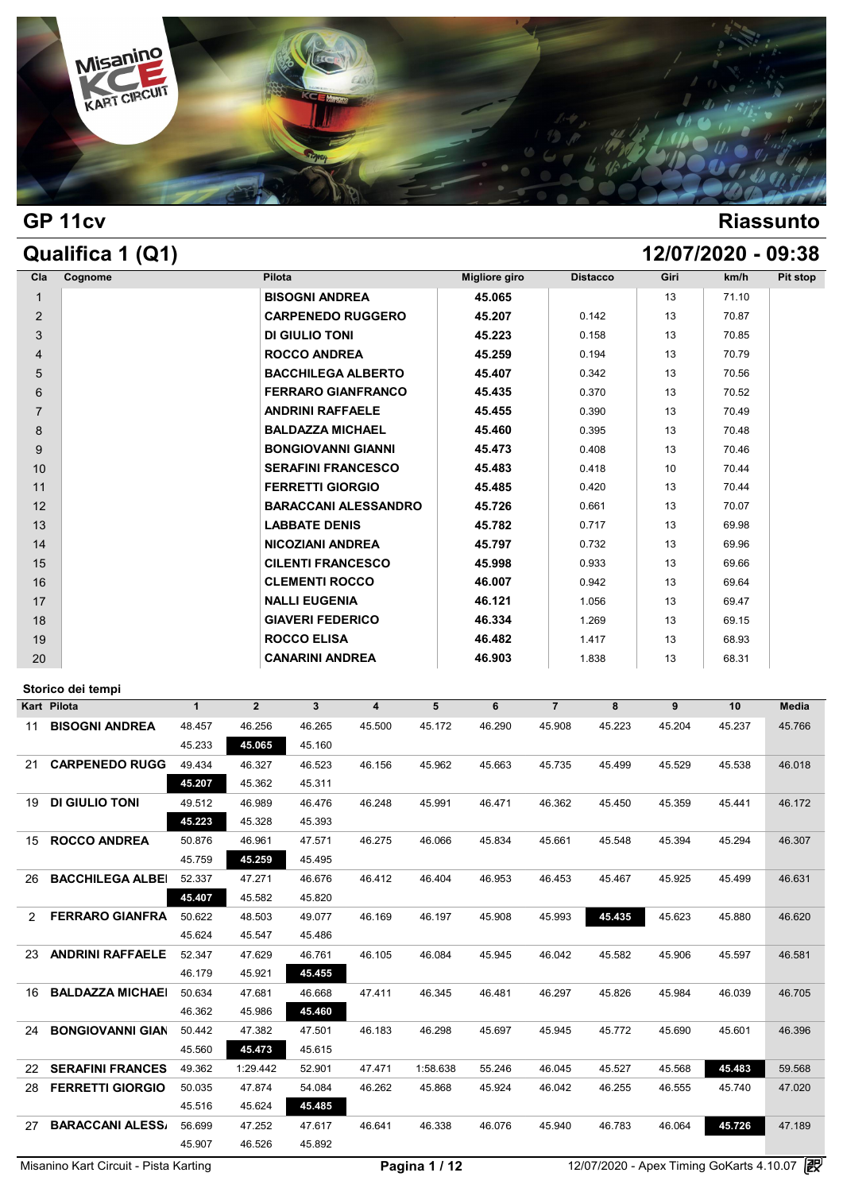

## **GP 11cv Riassunto**

| Qualifica 1 (Q1) |                             |                      |                 |      | 12/07/2020 - 09:38 |          |
|------------------|-----------------------------|----------------------|-----------------|------|--------------------|----------|
| Cognome<br>Cla   | Pilota                      | <b>Migliore giro</b> | <b>Distacco</b> | Giri | km/h               | Pit stop |
| $\mathbf{1}$     | <b>BISOGNI ANDREA</b>       | 45.065               |                 | 13   | 71.10              |          |
| 2                | <b>CARPENEDO RUGGERO</b>    | 45.207               | 0.142           | 13   | 70.87              |          |
| 3                | <b>DI GIULIO TONI</b>       | 45.223               | 0.158           | 13   | 70.85              |          |
| $\overline{4}$   | <b>ROCCO ANDREA</b>         | 45.259               | 0.194           | 13   | 70.79              |          |
| 5                | <b>BACCHILEGA ALBERTO</b>   | 45.407               | 0.342           | 13   | 70.56              |          |
| 6                | <b>FERRARO GIANFRANCO</b>   | 45.435               | 0.370           | 13   | 70.52              |          |
| $\overline{7}$   | <b>ANDRINI RAFFAELE</b>     | 45.455               | 0.390           | 13   | 70.49              |          |
| 8                | <b>BALDAZZA MICHAEL</b>     | 45.460               | 0.395           | 13   | 70.48              |          |
| 9                | <b>BONGIOVANNI GIANNI</b>   | 45.473               | 0.408           | 13   | 70.46              |          |
| 10               | <b>SERAFINI FRANCESCO</b>   | 45.483               | 0.418           | 10   | 70.44              |          |
| 11               | <b>FERRETTI GIORGIO</b>     | 45.485               | 0.420           | 13   | 70.44              |          |
| 12               | <b>BARACCANI ALESSANDRO</b> | 45.726               | 0.661           | 13   | 70.07              |          |
| 13               | <b>LABBATE DENIS</b>        | 45.782               | 0.717           | 13   | 69.98              |          |
| 14               | <b>NICOZIANI ANDREA</b>     | 45.797               | 0.732           | 13   | 69.96              |          |
| 15               | <b>CILENTI FRANCESCO</b>    | 45.998               | 0.933           | 13   | 69.66              |          |
| 16               | <b>CLEMENTI ROCCO</b>       | 46.007               | 0.942           | 13   | 69.64              |          |
| 17               | <b>NALLI EUGENIA</b>        | 46.121               | 1.056           | 13   | 69.47              |          |
| 18               | <b>GIAVERI FEDERICO</b>     | 46.334               | 1.269           | 13   | 69.15              |          |
| 19               | <b>ROCCO ELISA</b>          | 46.482               | 1.417           | 13   | 68.93              |          |
| 20               | <b>CANARINI ANDREA</b>      | 46.903               | 1.838           | 13   | 68.31              |          |

|    | Storico dei tempi       |              |                |                |        |          |        |                |        |        |        |              |
|----|-------------------------|--------------|----------------|----------------|--------|----------|--------|----------------|--------|--------|--------|--------------|
|    | Kart Pilota             | $\mathbf{1}$ | $\overline{2}$ | 3 <sup>1</sup> | 4      | 5        | 6      | $\overline{7}$ | 8      | 9      | 10     | <b>Media</b> |
| 11 | <b>BISOGNI ANDREA</b>   | 48.457       | 46.256         | 46.265         | 45.500 | 45.172   | 46.290 | 45.908         | 45.223 | 45.204 | 45.237 | 45.766       |
|    |                         | 45.233       | 45.065         | 45.160         |        |          |        |                |        |        |        |              |
| 21 | <b>CARPENEDO RUGG</b>   | 49.434       | 46.327         | 46.523         | 46.156 | 45.962   | 45.663 | 45.735         | 45.499 | 45.529 | 45.538 | 46.018       |
|    |                         | 45.207       | 45.362         | 45.311         |        |          |        |                |        |        |        |              |
| 19 | <b>DI GIULIO TONI</b>   | 49.512       | 46.989         | 46.476         | 46.248 | 45.991   | 46.471 | 46.362         | 45.450 | 45.359 | 45.441 | 46.172       |
|    |                         | 45.223       | 45.328         | 45.393         |        |          |        |                |        |        |        |              |
| 15 | <b>ROCCO ANDREA</b>     | 50.876       | 46.961         | 47.571         | 46.275 | 46.066   | 45.834 | 45.661         | 45.548 | 45.394 | 45.294 | 46.307       |
|    |                         | 45.759       | 45.259         | 45.495         |        |          |        |                |        |        |        |              |
| 26 | <b>BACCHILEGA ALBEI</b> | 52.337       | 47.271         | 46.676         | 46.412 | 46.404   | 46.953 | 46.453         | 45.467 | 45.925 | 45.499 | 46.631       |
|    |                         | 45.407       | 45.582         | 45.820         |        |          |        |                |        |        |        |              |
| 2  | <b>FERRARO GIANFRA</b>  | 50.622       | 48.503         | 49.077         | 46.169 | 46.197   | 45.908 | 45.993         | 45.435 | 45.623 | 45.880 | 46.620       |
|    |                         | 45.624       | 45.547         | 45.486         |        |          |        |                |        |        |        |              |
| 23 | <b>ANDRINI RAFFAELE</b> | 52.347       | 47.629         | 46.761         | 46.105 | 46.084   | 45.945 | 46.042         | 45.582 | 45.906 | 45.597 | 46.581       |
|    |                         | 46.179       | 45.921         | 45.455         |        |          |        |                |        |        |        |              |
| 16 | <b>BALDAZZA MICHAEI</b> | 50.634       | 47.681         | 46.668         | 47.411 | 46.345   | 46.481 | 46.297         | 45.826 | 45.984 | 46.039 | 46.705       |
|    |                         | 46.362       | 45.986         | 45.460         |        |          |        |                |        |        |        |              |
| 24 | <b>BONGIOVANNI GIAN</b> | 50.442       | 47.382         | 47.501         | 46.183 | 46.298   | 45.697 | 45.945         | 45.772 | 45.690 | 45.601 | 46.396       |
|    |                         | 45.560       | 45.473         | 45.615         |        |          |        |                |        |        |        |              |
| 22 | <b>SERAFINI FRANCES</b> | 49.362       | 1:29.442       | 52.901         | 47.471 | 1:58.638 | 55.246 | 46.045         | 45.527 | 45.568 | 45.483 | 59.568       |
| 28 | <b>FERRETTI GIORGIO</b> | 50.035       | 47.874         | 54.084         | 46.262 | 45.868   | 45.924 | 46.042         | 46.255 | 46.555 | 45.740 | 47.020       |
|    |                         | 45.516       | 45.624         | 45.485         |        |          |        |                |        |        |        |              |
| 27 | <b>BARACCANI ALESS/</b> | 56.699       | 47.252         | 47.617         | 46.641 | 46.338   | 46.076 | 45.940         | 46.783 | 46.064 | 45.726 | 47.189       |
|    |                         | 45.907       | 46.526         | 45.892         |        |          |        |                |        |        |        |              |
|    |                         |              |                |                |        |          |        |                |        |        |        | Ga           |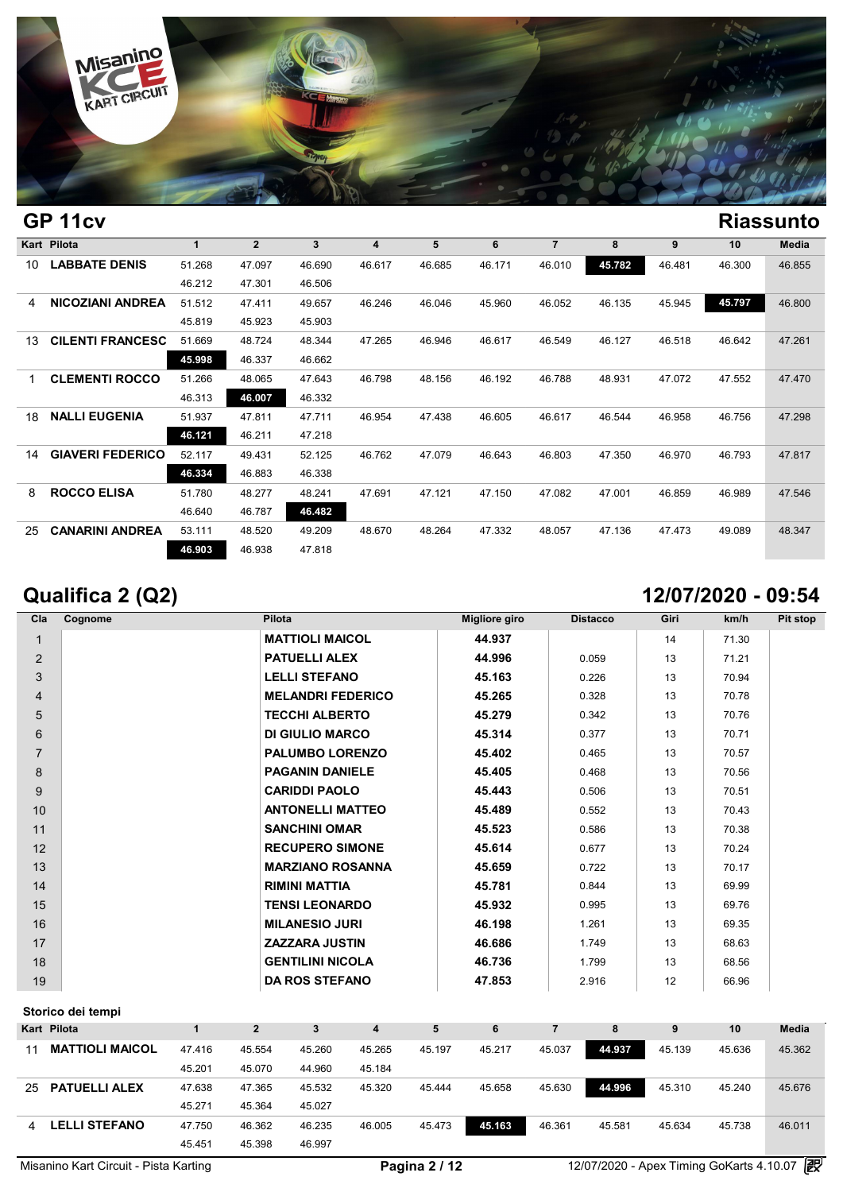

### **GP 11cv Riassunto Kart Pilota 1 2 3 4 5 6 7 8 9 10 Media LABBATE DENIS** 51.268 47.097 46.690 46.617 46.685 46.171 46.010 **45.782** 46.481 46.300 46.855 1 2 3 4<br>51.268 47.097 46.690 46.6<br>46.212 47.301 46.506 **NICOZIANI ANDREA** 51.512 47.411 49.657 46.246 46.046 45.960 46.052 46.135 45.945 **45.797** 46.800 46.212 47.097 46.690 46.6<br>
46.212 47.301 46.506<br>
51.512 47.411 49.657 46.2<br>
45.819 45.923 45.903<br>
51.660 48.724 48.344 47.3 **CILENTI FRANCESCO** 51.669 48.724 48.344 47.265 46.946 46.617 46.549 46.127 46.518 46.642 47.261 45.819 47.411 49.657 46.2<br>45.819 45.923 45.903<br>51.669 48.724 48.344 47.20<br>45.998 46.337 46.662 **CLEMENTI ROCCO** 51.266 48.065 47.643 46.798 48.156 46.192 46.788 48.931 47.072 47.552 47.470 46.313 **46.007** 46.332 **NALLI EUGENIA** 51.937 47.811 47.711 46.954 47.438 46.605 46.617 46.544 46.958 46.756 47.298 46.313 **46.007 47.643 46.79**<br>
46.313 **46.007 46.332**<br>
51.937 **47.811 47.711 46.99**<br> **46.121 46.211 47.218**<br>
52.117 **40.421** 52.125 **46.71 GIAVERI FEDERICO** 52.117 49.431 52.125 46.762 47.079 46.643 46.803 47.350 46.970 46.793 47.817 46.937 47.811 47.711 46.93<br> **46.121** 46.211 47.218<br>
52.117 49.431 52.125 46.70<br> **46.334 46.883 46.338 ROCCO ELISA** 51.780 48.277 48.241 47.691 47.121 47.150 47.082 47.001 46.859 46.989 47.546 52.117 49.431 52.125 46<br> **46.334 46.883 46.338**<br>
51.780 48.277 48.241 47<br>
46.640 46.787 **46.482 CANARINI ANDREA** 53.111 48.520 49.209 48.670 48.264 47.332 48.057 47.136 47.473 49.089 48.347 17.69 48.277 48.241 47.69<br>
46.640 46.787 46.482<br>
53.111 48.520 49.209 48.6<sup>1</sup><br>
46.903 46.938 47.818

## **Qualifica 2 (Q2) 12/07/2020 - 09:54**

| Cla            | Cognome | Pilota                   | Migliore giro | <b>Distacco</b> | Giri | km/h  | Pit stop |
|----------------|---------|--------------------------|---------------|-----------------|------|-------|----------|
| 1              |         | <b>MATTIOLI MAICOL</b>   | 44.937        |                 | 14   | 71.30 |          |
| 2              |         | <b>PATUELLI ALEX</b>     | 44.996        | 0.059           | 13   | 71.21 |          |
| 3              |         | <b>LELLI STEFANO</b>     | 45.163        | 0.226           | 13   | 70.94 |          |
| $\overline{4}$ |         | <b>MELANDRI FEDERICO</b> | 45.265        | 0.328           | 13   | 70.78 |          |
| 5              |         | <b>TECCHI ALBERTO</b>    | 45.279        | 0.342           | 13   | 70.76 |          |
| 6              |         | <b>DI GIULIO MARCO</b>   | 45.314        | 0.377           | 13   | 70.71 |          |
| $\overline{7}$ |         | <b>PALUMBO LORENZO</b>   | 45.402        | 0.465           | 13   | 70.57 |          |
| 8              |         | <b>PAGANIN DANIELE</b>   | 45.405        | 0.468           | 13   | 70.56 |          |
| 9              |         | <b>CARIDDI PAOLO</b>     | 45.443        | 0.506           | 13   | 70.51 |          |
| 10             |         | <b>ANTONELLI MATTEO</b>  | 45.489        | 0.552           | 13   | 70.43 |          |
| 11             |         | <b>SANCHINI OMAR</b>     | 45.523        | 0.586           | 13   | 70.38 |          |
| 12             |         | <b>RECUPERO SIMONE</b>   | 45.614        | 0.677           | 13   | 70.24 |          |
| 13             |         | <b>MARZIANO ROSANNA</b>  | 45.659        | 0.722           | 13   | 70.17 |          |
| 14             |         | <b>RIMINI MATTIA</b>     | 45.781        | 0.844           | 13   | 69.99 |          |
| 15             |         | <b>TENSI LEONARDO</b>    | 45.932        | 0.995           | 13   | 69.76 |          |
| 16             |         | <b>MILANESIO JURI</b>    | 46.198        | 1.261           | 13   | 69.35 |          |
| 17             |         | <b>ZAZZARA JUSTIN</b>    | 46.686        | 1.749           | 13   | 68.63 |          |
| 18             |         | <b>GENTILINI NICOLA</b>  | 46.736        | 1.799           | 13   | 68.56 |          |
| 19             |         | <b>DA ROS STEFANO</b>    | 47.853        | 2.916           | 12   | 66.96 |          |

|                        |                                        | $\mathbf{2}$ | 3      | 4      | 5      | 6      |        | 8      | 9      | 10     | <b>Media</b> |
|------------------------|----------------------------------------|--------------|--------|--------|--------|--------|--------|--------|--------|--------|--------------|
| <b>MATTIOLI MAICOL</b> | 47.416                                 | 45.554       | 45.260 | 45.265 | 45.197 | 45.217 | 45.037 | 44.937 | 45.139 | 45.636 | 45.362       |
|                        | 45.201                                 | 45.070       | 44.960 | 45.184 |        |        |        |        |        |        |              |
| <b>PATUELLI ALEX</b>   | 47.638                                 | 47.365       | 45.532 | 45.320 | 45.444 | 45.658 | 45.630 | 44.996 | 45.310 | 45.240 | 45.676       |
|                        | 45.271                                 | 45.364       | 45.027 |        |        |        |        |        |        |        |              |
| <b>LELLI STEFANO</b>   | 47.750                                 | 46.362       | 46.235 | 46.005 | 45.473 | 45.163 | 46.361 | 45.581 | 45.634 | 45.738 | 46.011       |
|                        | 45.451                                 | 45.398       | 46.997 |        |        |        |        |        |        |        |              |
| 4                      | Storico dei tempi<br>Kart Pilota<br>25 |              |        |        |        |        |        |        |        |        |              |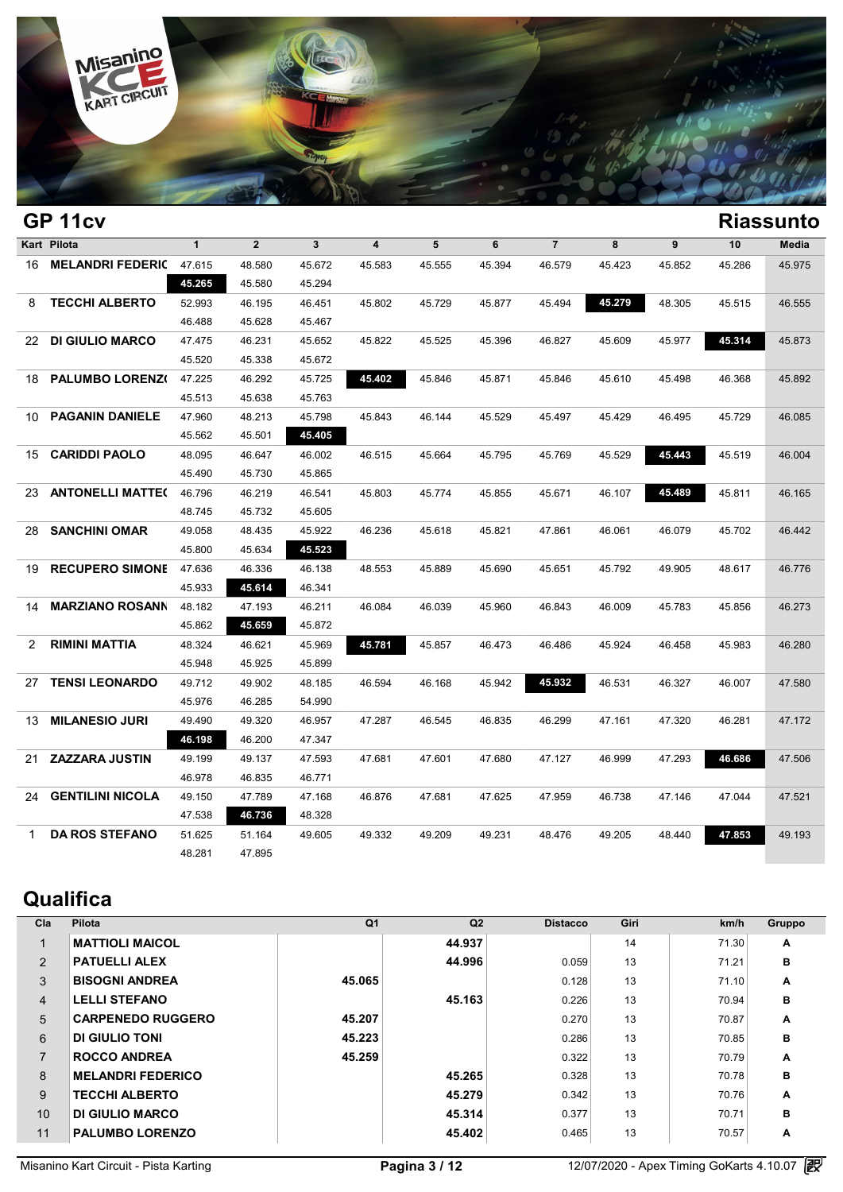

|              | GP 11cv                    |              |                |              |                         |        |        |                |        |        |        | <b>Riassunto</b> |
|--------------|----------------------------|--------------|----------------|--------------|-------------------------|--------|--------|----------------|--------|--------|--------|------------------|
|              | Kart Pilota                | $\mathbf{1}$ | 2 <sup>2</sup> | $\mathbf{3}$ | $\overline{\mathbf{4}}$ | 5      | 6      | $\overline{7}$ | 8      | 9      | 10     | Media            |
|              | 16 MELANDRI FEDERIC 47.615 |              | 48.580         | 45.672       | 45.583                  | 45.555 | 45.394 | 46.579         | 45.423 | 45.852 | 45.286 | 45.975           |
|              |                            | 45.265       | 45.580         | 45.294       |                         |        |        |                |        |        |        |                  |
| 8            | <b>TECCHI ALBERTO</b>      | 52.993       | 46.195         | 46.451       | 45.802                  | 45.729 | 45.877 | 45.494         | 45.279 | 48.305 | 45.515 | 46.555           |
|              |                            | 46.488       | 45.628         | 45.467       |                         |        |        |                |        |        |        |                  |
| 22.          | <b>DI GIULIO MARCO</b>     | 47.475       | 46.231         | 45.652       | 45.822                  | 45.525 | 45.396 | 46.827         | 45.609 | 45.977 | 45.314 | 45.873           |
|              |                            | 45.520       | 45.338         | 45.672       |                         |        |        |                |        |        |        |                  |
| 18           | PALUMBO LORENZ(            | 47.225       | 46.292         | 45.725       | 45.402                  | 45.846 | 45.871 | 45.846         | 45.610 | 45.498 | 46.368 | 45.892           |
|              |                            | 45.513       | 45.638         | 45.763       |                         |        |        |                |        |        |        |                  |
| 10           | <b>PAGANIN DANIELE</b>     | 47.960       | 48.213         | 45.798       | 45.843                  | 46.144 | 45.529 | 45.497         | 45.429 | 46.495 | 45.729 | 46.085           |
|              |                            | 45.562       | 45.501         | 45.405       |                         |        |        |                |        |        |        |                  |
| 15           | <b>CARIDDI PAOLO</b>       | 48.095       | 46.647         | 46.002       | 46.515                  | 45.664 | 45.795 | 45.769         | 45.529 | 45.443 | 45.519 | 46.004           |
|              |                            | 45.490       | 45.730         | 45.865       |                         |        |        |                |        |        |        |                  |
| 23.          | <b>ANTONELLI MATTE(</b>    | 46.796       | 46.219         | 46.541       | 45.803                  | 45.774 | 45.855 | 45.671         | 46.107 | 45.489 | 45.811 | 46.165           |
|              |                            | 48.745       | 45.732         | 45.605       |                         |        |        |                |        |        |        |                  |
| 28.          | <b>SANCHINI OMAR</b>       | 49.058       | 48.435         | 45.922       | 46.236                  | 45.618 | 45.821 | 47.861         | 46.061 | 46.079 | 45.702 | 46.442           |
|              |                            | 45.800       | 45.634         | 45.523       |                         |        |        |                |        |        |        |                  |
| 19           | <b>RECUPERO SIMONE</b>     | 47.636       | 46.336         | 46.138       | 48.553                  | 45.889 | 45.690 | 45.651         | 45.792 | 49.905 | 48.617 | 46.776           |
|              |                            | 45.933       | 45.614         | 46.341       |                         |        |        |                |        |        |        |                  |
| 14           | <b>MARZIANO ROSANN</b>     | 48.182       | 47.193         | 46.211       | 46.084                  | 46.039 | 45.960 | 46.843         | 46.009 | 45.783 | 45.856 | 46.273           |
|              |                            | 45.862       | 45.659         | 45.872       |                         |        |        |                |        |        |        |                  |
| 2            | <b>RIMINI MATTIA</b>       | 48.324       | 46.621         | 45.969       | 45.781                  | 45.857 | 46.473 | 46.486         | 45.924 | 46.458 | 45.983 | 46.280           |
|              |                            | 45.948       | 45.925         | 45.899       |                         |        |        |                |        |        |        |                  |
| 27           | <b>TENSI LEONARDO</b>      | 49.712       | 49.902         | 48.185       | 46.594                  | 46.168 | 45.942 | 45.932         | 46.531 | 46.327 | 46.007 | 47.580           |
|              |                            | 45.976       | 46.285         | 54.990       |                         |        |        |                |        |        |        |                  |
| 13           | <b>MILANESIO JURI</b>      | 49.490       | 49.320         | 46.957       | 47.287                  | 46.545 | 46.835 | 46.299         | 47.161 | 47.320 | 46.281 | 47.172           |
|              |                            | 46.198       | 46.200         | 47.347       |                         |        |        |                |        |        |        |                  |
| 21           | <b>ZAZZARA JUSTIN</b>      | 49.199       | 49.137         | 47.593       | 47.681                  | 47.601 | 47.680 | 47.127         | 46.999 | 47.293 | 46.686 | 47.506           |
|              |                            | 46.978       | 46.835         | 46.771       |                         |        |        |                |        |        |        |                  |
| 24           | <b>GENTILINI NICOLA</b>    | 49.150       | 47.789         | 47.168       | 46.876                  | 47.681 | 47.625 | 47.959         | 46.738 | 47.146 | 47.044 | 47.521           |
|              |                            | 47.538       | 46.736         | 48.328       |                         |        |        |                |        |        |        |                  |
| $\mathbf{1}$ | <b>DA ROS STEFANO</b>      | 51.625       | 51.164         | 49.605       | 49.332                  | 49.209 | 49.231 | 48.476         | 49.205 | 48.440 | 47.853 | 49.193           |
|              |                            | 48.281       | 47.895         |              |                         |        |        |                |        |        |        |                  |
|              |                            |              |                |              |                         |        |        |                |        |        |        |                  |

# **Qualifica**

| Cla            | Pilota                   | Q <sub>1</sub> | Q2     | <b>Distacco</b> | Giri | km/h  | Gruppo |
|----------------|--------------------------|----------------|--------|-----------------|------|-------|--------|
|                | <b>MATTIOLI MAICOL</b>   |                | 44.937 |                 | 14   | 71.30 | A      |
| 2              | <b>PATUELLI ALEX</b>     |                | 44.996 | 0.059           | 13   | 71.21 | в      |
| 3              | <b>BISOGNI ANDREA</b>    | 45.065         |        | 0.128           | 13   | 71.10 | A      |
| $\overline{4}$ | <b>LELLI STEFANO</b>     |                | 45.163 | 0.226           | 13   | 70.94 | в      |
| 5              | <b>CARPENEDO RUGGERO</b> | 45.207         |        | 0.270           | 13   | 70.87 | Α      |
| 6              | DI GIULIO TONI           | 45.223         |        | 0.286           | 13   | 70.85 | в      |
| $\overline{7}$ | <b>ROCCO ANDREA</b>      | 45.259         |        | 0.322           | 13   | 70.79 | A      |
| 8              | <b>MELANDRI FEDERICO</b> |                | 45.265 | 0.328           | 13   | 70.78 | в      |
| 9              | <b>TECCHI ALBERTO</b>    |                | 45.279 | 0.342           | 13   | 70.76 | A      |
| 10             | DI GIULIO MARCO          |                | 45.314 | 0.377           | 13   | 70.71 | в      |
| 11             | <b>PALUMBO LORENZO</b>   |                | 45.402 | 0.465           | 13   | 70.57 | Α      |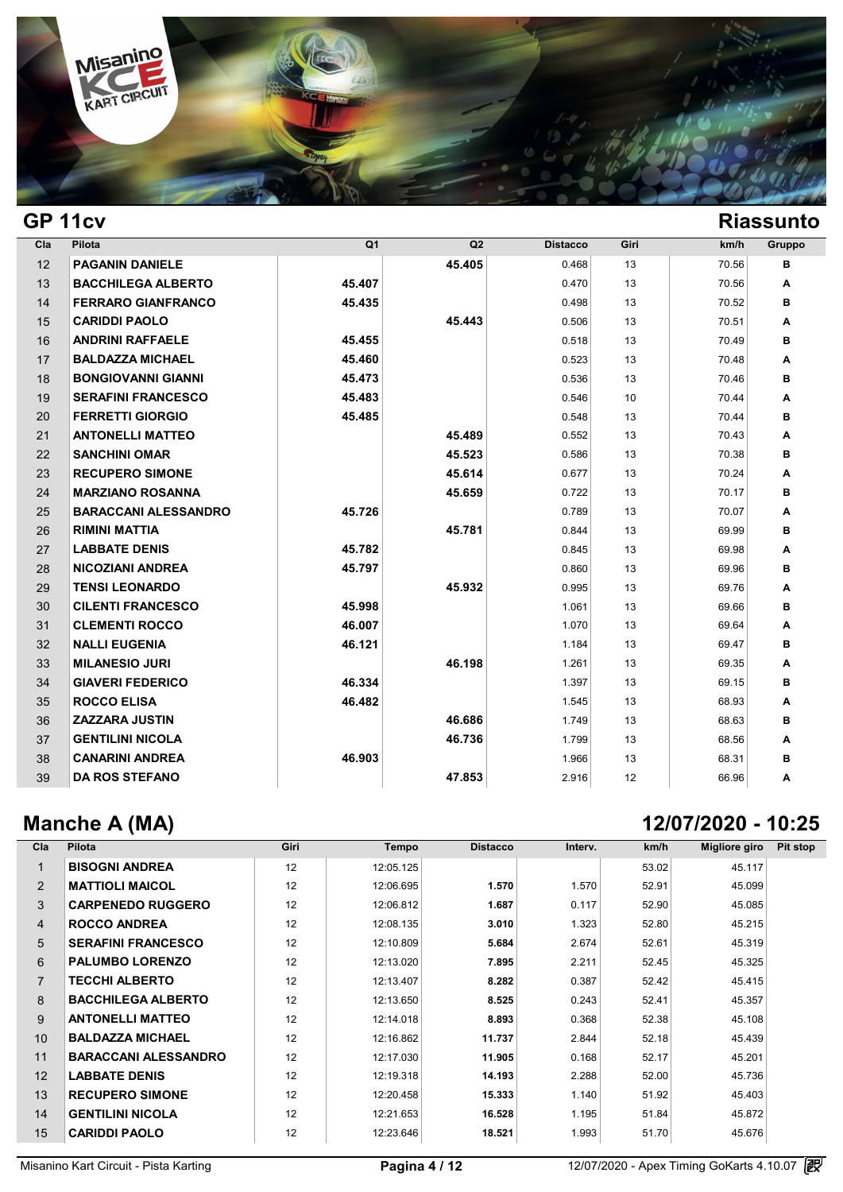

## **GP 11cv Riassunto**

| Cla | Pilota                      | Q <sub>1</sub> | Q2     | <b>Distacco</b> | Giri | km/h  | Gruppo |
|-----|-----------------------------|----------------|--------|-----------------|------|-------|--------|
| 12  | <b>PAGANIN DANIELE</b>      |                | 45.405 | 0.468           | 13   | 70.56 | в      |
| 13  | <b>BACCHILEGA ALBERTO</b>   | 45.407         |        | 0.470           | 13   | 70.56 | Α      |
| 14  | <b>FERRARO GIANFRANCO</b>   | 45.435         |        | 0.498           | 13   | 70.52 | в      |
| 15  | <b>CARIDDI PAOLO</b>        |                | 45.443 | 0.506           | 13   | 70.51 | A      |
| 16  | <b>ANDRINI RAFFAELE</b>     | 45.455         |        | 0.518           | 13   | 70.49 | в      |
| 17  | <b>BALDAZZA MICHAEL</b>     | 45.460         |        | 0.523           | 13   | 70.48 | Α      |
| 18  | <b>BONGIOVANNI GIANNI</b>   | 45.473         |        | 0.536           | 13   | 70.46 | в      |
| 19  | <b>SERAFINI FRANCESCO</b>   | 45.483         |        | 0.546           | 10   | 70.44 | A      |
| 20  | <b>FERRETTI GIORGIO</b>     | 45.485         |        | 0.548           | 13   | 70.44 | в      |
| 21  | <b>ANTONELLI MATTEO</b>     |                | 45.489 | 0.552           | 13   | 70.43 | Α      |
| 22  | <b>SANCHINI OMAR</b>        |                | 45.523 | 0.586           | 13   | 70.38 | в      |
| 23  | <b>RECUPERO SIMONE</b>      |                | 45.614 | 0.677           | 13   | 70.24 | A      |
| 24  | <b>MARZIANO ROSANNA</b>     |                | 45.659 | 0.722           | 13   | 70.17 | в      |
| 25  | <b>BARACCANI ALESSANDRO</b> | 45.726         |        | 0.789           | 13   | 70.07 | Α      |
| 26  | <b>RIMINI MATTIA</b>        |                | 45.781 | 0.844           | 13   | 69.99 | в      |
| 27  | <b>LABBATE DENIS</b>        | 45.782         |        | 0.845           | 13   | 69.98 | Α      |
| 28  | <b>NICOZIANI ANDREA</b>     | 45.797         |        | 0.860           | 13   | 69.96 | в      |
| 29  | <b>TENSI LEONARDO</b>       |                | 45.932 | 0.995           | 13   | 69.76 | Α      |
| 30  | <b>CILENTI FRANCESCO</b>    | 45.998         |        | 1.061           | 13   | 69.66 | в      |
| 31  | <b>CLEMENTI ROCCO</b>       | 46.007         |        | 1.070           | 13   | 69.64 | Α      |
| 32  | <b>NALLI EUGENIA</b>        | 46.121         |        | 1.184           | 13   | 69.47 | в      |
| 33  | <b>MILANESIO JURI</b>       |                | 46.198 | 1.261           | 13   | 69.35 | A      |
| 34  | <b>GIAVERI FEDERICO</b>     | 46.334         |        | 1.397           | 13   | 69.15 | в      |
| 35  | <b>ROCCO ELISA</b>          | 46.482         |        | 1.545           | 13   | 68.93 | Α      |
| 36  | <b>ZAZZARA JUSTIN</b>       |                | 46.686 | 1.749           | 13   | 68.63 | в      |
| 37  | <b>GENTILINI NICOLA</b>     |                | 46.736 | 1.799           | 13   | 68.56 | A      |
| 38  | <b>CANARINI ANDREA</b>      | 46.903         |        | 1.966           | 13   | 68.31 | в      |
| 39  | <b>DA ROS STEFANO</b>       |                | 47.853 | 2.916           | 12   | 66.96 | Α      |

# **Manche A (MA) 12/07/2020 - 10:25**

| Cla            | Pilota                      | Giri | Tempo     | <b>Distacco</b> | Interv. | km/h  | Migliore giro | Pit stop |
|----------------|-----------------------------|------|-----------|-----------------|---------|-------|---------------|----------|
|                | <b>BISOGNI ANDREA</b>       | 12   | 12:05.125 |                 |         | 53.02 | 45.117        |          |
| 2              | <b>MATTIOLI MAICOL</b>      | 12   | 12:06.695 | 1.570           | 1.570   | 52.91 | 45.099        |          |
| 3              | <b>CARPENEDO RUGGERO</b>    | 12   | 12:06.812 | 1.687           | 0.117   | 52.90 | 45.085        |          |
| 4              | <b>ROCCO ANDREA</b>         | 12   | 12:08.135 | 3.010           | 1.323   | 52.80 | 45.215        |          |
| 5              | <b>SERAFINI FRANCESCO</b>   | 12   | 12:10.809 | 5.684           | 2.674   | 52.61 | 45.319        |          |
| 6              | <b>PALUMBO LORENZO</b>      | 12   | 12:13.020 | 7.895           | 2.211   | 52.45 | 45.325        |          |
| $\overline{7}$ | <b>TECCHI ALBERTO</b>       | 12   | 12:13.407 | 8.282           | 0.387   | 52.42 | 45.415        |          |
| 8              | <b>BACCHILEGA ALBERTO</b>   | 12   | 12:13.650 | 8.525           | 0.243   | 52.41 | 45.357        |          |
| 9              | <b>ANTONELLI MATTEO</b>     | 12   | 12:14.018 | 8.893           | 0.368   | 52.38 | 45.108        |          |
| 10             | <b>BALDAZZA MICHAEL</b>     | 12   | 12:16.862 | 11.737          | 2.844   | 52.18 | 45.439        |          |
| 11             | <b>BARACCANI ALESSANDRO</b> | 12   | 12:17.030 | 11.905          | 0.168   | 52.17 | 45.201        |          |
| 12             | <b>LABBATE DENIS</b>        | 12   | 12:19.318 | 14.193          | 2.288   | 52.00 | 45.736        |          |
| 13             | <b>RECUPERO SIMONE</b>      | 12   | 12:20.458 | 15.333          | 1.140   | 51.92 | 45.403        |          |
| 14             | <b>GENTILINI NICOLA</b>     | 12   | 12:21.653 | 16.528          | 1.195   | 51.84 | 45.872        |          |
| 15             | <b>CARIDDI PAOLO</b>        | 12   | 12:23.646 | 18.521          | 1.993   | 51.70 | 45.676        |          |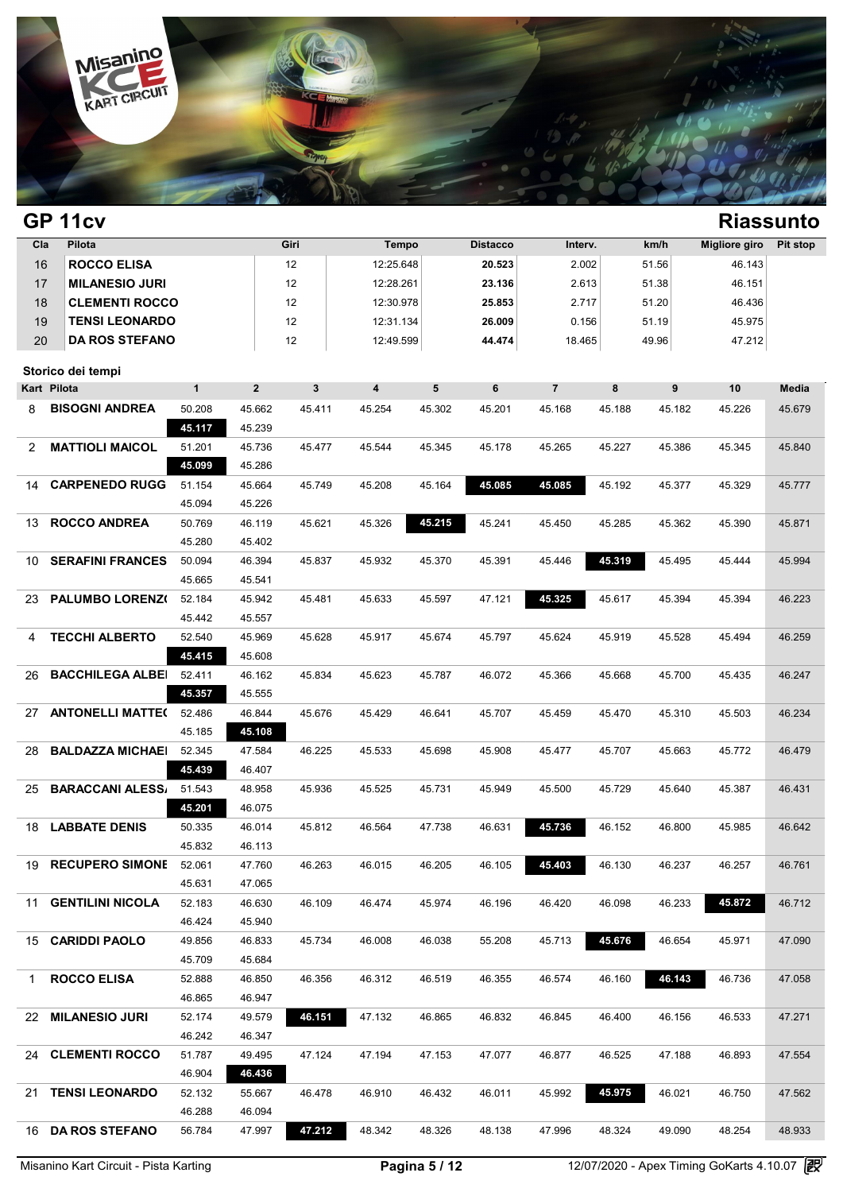

| Cla            | Pilota                  |                  |                  | Giri                    | Tempo                   |        | <b>Distacco</b> | Interv.        |        | km/h   | Migliore giro | Pit stop |
|----------------|-------------------------|------------------|------------------|-------------------------|-------------------------|--------|-----------------|----------------|--------|--------|---------------|----------|
| 16             | <b>ROCCO ELISA</b>      |                  |                  | 12                      | 12:25.648               |        | 20.523          | 2.002          |        | 51.56  | 46.143        |          |
| 17             | <b>MILANESIO JURI</b>   |                  |                  | 12                      | 12:28.261               |        | 23.136          | 2.613          |        | 51.38  | 46.151        |          |
| 18             | <b>CLEMENTI ROCCO</b>   |                  |                  | 12                      | 12:30.978               |        | 25.853          | 2.717          |        | 51.20  | 46.436        |          |
| 19             | <b>TENSI LEONARDO</b>   |                  |                  | 12                      | 12:31.134               |        | 26.009          | 0.156          |        | 51.19  | 45.975        |          |
| 20             | <b>DA ROS STEFANO</b>   |                  |                  | 12                      | 12:49.599               |        | 44.474          | 18.465         |        | 49.96  | 47.212        |          |
|                | Storico dei tempi       |                  |                  |                         |                         |        |                 |                |        |        |               |          |
|                | Kart Pilota             | $\mathbf{1}$     | $\overline{2}$   | $\overline{\mathbf{3}}$ | $\overline{\mathbf{4}}$ | 5      | 6               | $\overline{7}$ | 8      | 9      | 10            | Media    |
| 8              | <b>BISOGNI ANDREA</b>   | 50.208           | 45.662           | 45.411                  | 45.254                  | 45.302 | 45.201          | 45.168         | 45.188 | 45.182 | 45.226        | 45.679   |
|                |                         | 45.117           | 45.239           |                         |                         |        |                 |                |        |        |               |          |
| $\overline{2}$ | <b>MATTIOLI MAICOL</b>  | 51.201           | 45.736           | 45.477                  | 45.544                  | 45.345 | 45.178          | 45.265         | 45.227 | 45.386 | 45.345        | 45.840   |
|                |                         | 45.099           | 45.286           |                         |                         |        |                 |                |        |        |               |          |
| 14             | <b>CARPENEDO RUGGI</b>  | 51.154           | 45.664           | 45.749                  | 45.208                  | 45.164 | 45.085          | 45.085         | 45.192 | 45.377 | 45.329        | 45.777   |
|                |                         | 45.094           | 45.226           |                         |                         |        |                 |                |        |        |               |          |
| 13             | <b>ROCCO ANDREA</b>     | 50.769           | 46.119           | 45.621                  | 45.326                  | 45.215 | 45.241          | 45.450         | 45.285 | 45.362 | 45.390        | 45.871   |
|                |                         | 45.280           | 45.402           |                         |                         |        |                 |                |        |        |               |          |
| 10             | <b>SERAFINI FRANCES</b> | 50.094           | 46.394           | 45.837                  | 45.932                  | 45.370 | 45.391          | 45.446         | 45.319 | 45.495 | 45.444        | 45.994   |
|                |                         | 45.665           | 45.541           |                         |                         |        |                 |                |        |        |               |          |
| 23             | PALUMBO LORENZ(         | 52.184           | 45.942           | 45.481                  | 45.633                  | 45.597 | 47.121          | 45.325         | 45.617 | 45.394 | 45.394        | 46.223   |
|                |                         | 45.442           | 45.557           |                         |                         |        |                 |                |        |        |               |          |
| 4              | <b>TECCHI ALBERTO</b>   | 52.540           | 45.969           | 45.628                  | 45.917                  | 45.674 | 45.797          | 45.624         | 45.919 | 45.528 | 45.494        | 46.259   |
|                |                         | 45.415           | 45.608           |                         |                         |        |                 |                |        |        |               |          |
| 26             | <b>BACCHILEGA ALBEI</b> | 52.411           | 46.162           | 45.834                  | 45.623                  | 45.787 | 46.072          | 45.366         | 45.668 | 45.700 | 45.435        | 46.247   |
|                |                         | 45.357           | 45.555           |                         |                         |        |                 |                |        |        |               |          |
| 27             | <b>ANTONELLI MATTE(</b> | 52.486           | 46.844           | 45.676                  | 45.429                  | 46.641 | 45.707          | 45.459         | 45.470 | 45.310 | 45.503        | 46.234   |
|                |                         | 45.185           | 45.108           |                         |                         |        |                 |                |        |        |               |          |
| 28             | <b>BALDAZZA MICHAEI</b> | 52.345           | 47.584           | 46.225                  | 45.533                  | 45.698 | 45.908          | 45.477         | 45.707 | 45.663 | 45.772        | 46.479   |
|                |                         | 45.439           | 46.407           |                         |                         |        |                 |                |        |        |               |          |
| 25             | <b>BARACCANI ALESS/</b> | 51.543           | 48.958           | 45.936                  | 45.525                  | 45.731 | 45.949          | 45.500         | 45.729 | 45.640 | 45.387        | 46.431   |
|                | <b>LABBATE DENIS</b>    | 45.201           | 46.075           |                         |                         |        |                 |                |        |        |               |          |
| 18             |                         | 50.335           | 46.014           | 45.812                  | 46.564                  | 47.738 | 46.631          | 45.736         | 46.152 | 46.800 | 45.985        | 46.642   |
|                | <b>RECUPERO SIMONE</b>  | 45.832<br>52.061 | 46.113           | 46.263                  | 46.015                  | 46.205 | 46.105          | 45.403         | 46.130 | 46.237 | 46.257        | 46.761   |
| 19             |                         | 45.631           | 47.760<br>47.065 |                         |                         |        |                 |                |        |        |               |          |
|                | 11 GENTILINI NICOLA     | 52.183           | 46.630           | 46.109                  | 46.474                  | 45.974 | 46.196          | 46.420         | 46.098 | 46.233 | 45.872        | 46.712   |
|                |                         | 46.424           | 45.940           |                         |                         |        |                 |                |        |        |               |          |
|                | 15 CARIDDI PAOLO        | 49.856           | 46.833           | 45.734                  | 46.008                  | 46.038 | 55.208          | 45.713         | 45.676 | 46.654 | 45.971        | 47.090   |
|                |                         | 45.709           | 45.684           |                         |                         |        |                 |                |        |        |               |          |
| 1.             | <b>ROCCO ELISA</b>      | 52.888           | 46.850           | 46.356                  | 46.312                  | 46.519 | 46.355          | 46.574         | 46.160 | 46.143 | 46.736        | 47.058   |
|                |                         | 46.865           | 46.947           |                         |                         |        |                 |                |        |        |               |          |
|                | 22 MILANESIO JURI       | 52.174           | 49.579           | 46.151                  | 47.132                  | 46.865 | 46.832          | 46.845         | 46.400 | 46.156 | 46.533        | 47.271   |
|                |                         | 46.242           | 46.347           |                         |                         |        |                 |                |        |        |               |          |
|                | 24 CLEMENTI ROCCO       | 51.787           | 49.495           | 47.124                  | 47.194                  | 47.153 | 47.077          | 46.877         | 46.525 | 47.188 | 46.893        | 47.554   |
|                |                         | 46.904           | 46.436           |                         |                         |        |                 |                |        |        |               |          |
|                | 21 TENSI LEONARDO       | 52.132           | 55.667           | 46.478                  | 46.910                  | 46.432 | 46.011          | 45.992         | 45.975 | 46.021 | 46.750        | 47.562   |
|                |                         | 46.288           | 46.094           |                         |                         |        |                 |                |        |        |               |          |
| 16             | <b>DA ROS STEFANO</b>   | 56.784           | 47.997           | 47.212                  | 48.342                  | 48.326 | 48.138          | 47.996         | 48.324 | 49.090 | 48.254        | 48.933   |
|                |                         |                  |                  |                         |                         |        |                 |                |        |        |               |          |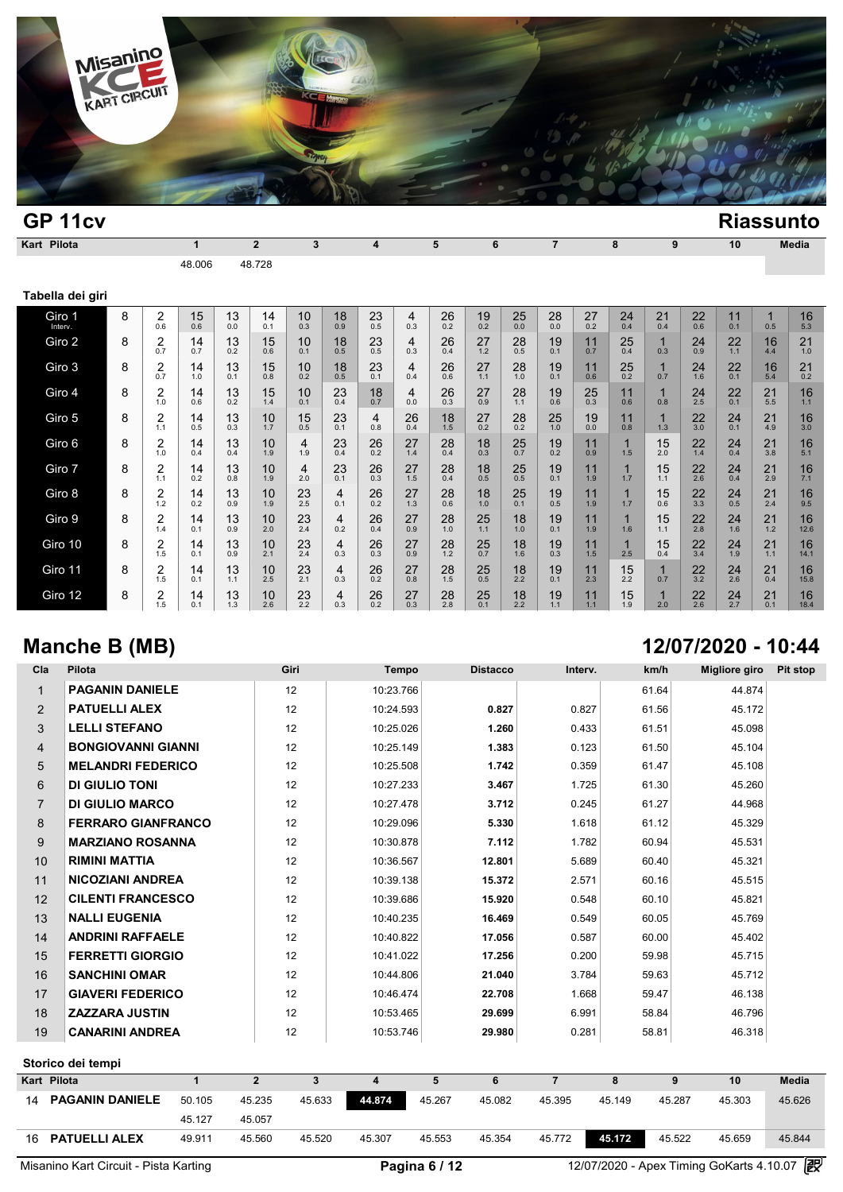

| GP <sub>11cv</sub> |   |                       |              |           |                |           |           |                         |                       |           |           |           |                |           |                       |                     |           |           |           | <b>Riassunto</b> |
|--------------------|---|-----------------------|--------------|-----------|----------------|-----------|-----------|-------------------------|-----------------------|-----------|-----------|-----------|----------------|-----------|-----------------------|---------------------|-----------|-----------|-----------|------------------|
| Kart Pilota        |   |                       | $\mathbf{1}$ |           | $\overline{2}$ | 3         |           | $\overline{\mathbf{4}}$ |                       | 5         | 6         |           | $\overline{7}$ |           | 8                     | 9                   |           | 10        |           | <b>Media</b>     |
|                    |   |                       | 48.006       |           | 48.728         |           |           |                         |                       |           |           |           |                |           |                       |                     |           |           |           |                  |
| Tabella dei giri   |   |                       |              |           |                |           |           |                         |                       |           |           |           |                |           |                       |                     |           |           |           |                  |
| Giro 1<br>Interv.  | 8 | $\overline{2}$<br>0.6 | 15<br>0.6    | 13<br>0.0 | 14<br>0.1      | 10<br>0.3 | 18<br>0.9 | 23<br>0.5               | $\overline{4}$<br>0.3 | 26<br>0.2 | 19<br>0.2 | 25<br>0.0 | 28<br>0.0      | 27<br>0.2 | 24<br>0.4             | 21<br>0.4           | 22<br>0.6 | 11<br>0.1 | 1<br>0.5  | 16<br>5.3        |
| Giro 2             | 8 | 2<br>0.7              | 14<br>0.7    | 13<br>0.2 | 15<br>0.6      | 10<br>0.1 | 18<br>0.5 | 23<br>0.5               | 4<br>0.3              | 26<br>0.4 | 27<br>1.2 | 28<br>0.5 | 19<br>0.1      | 11<br>0.7 | 25<br>0.4             | 1<br>0.3            | 24<br>0.9 | 22<br>1.1 | 16<br>4.4 | 21<br>1.0        |
| Giro 3             | 8 | 2<br>0.7              | 14<br>1.0    | 13<br>0.1 | 15<br>0.8      | 10<br>0.2 | 18<br>0.5 | 23<br>0.1               | 4<br>0.4              | 26<br>0.6 | 27<br>1.1 | 28<br>1.0 | 19<br>0.1      | 11<br>0.6 | 25<br>0.2             | $\mathbf 1$<br>0.7  | 24<br>1.6 | 22<br>0.1 | 16<br>5.4 | 21<br>0.2        |
| Giro 4             | 8 | $\overline{2}$<br>1.0 | 14<br>0.6    | 13<br>0.2 | 15<br>1.4      | 10<br>0.1 | 23<br>0.4 | 18<br>0.7               | 4<br>0.0              | 26<br>0.3 | 27<br>0.9 | 28<br>1.1 | 19<br>0.6      | 25<br>0.3 | 11<br>0.6             | 1<br>0.8            | 24<br>2.5 | 22<br>0.1 | 21<br>5.5 | 16<br>1.1        |
| Giro 5             | 8 | 2<br>1.1              | 14<br>0.5    | 13<br>0.3 | 10<br>1.7      | 15<br>0.5 | 23<br>0.1 | 4<br>0.8                | 26<br>0.4             | 18<br>1.5 | 27<br>0.2 | 28<br>0.2 | 25<br>1.0      | 19<br>0.0 | 11<br>0.8             | 1<br>1.3            | 22<br>3.0 | 24<br>0.1 | 21<br>4.9 | 16<br>3.0        |
| Giro 6             | 8 | 2<br>1.0              | 14<br>0.4    | 13<br>0.4 | 10<br>1.9      | 4<br>1.9  | 23<br>0.4 | 26<br>0.2               | 27<br>1.4             | 28<br>0.4 | 18<br>0.3 | 25<br>0.7 | 19<br>0.2      | 11<br>0.9 | 1<br>1.5              | 15<br>2.0           | 22<br>1.4 | 24<br>0.4 | 21<br>3.8 | 16<br>5.1        |
| Giro 7             | 8 | $\overline{2}$<br>1.1 | 14<br>0.2    | 13<br>0.8 | 10<br>1.9      | 4<br>2.0  | 23<br>0.1 | 26<br>0.3               | 27<br>1.5             | 28<br>0.4 | 18<br>0.5 | 25<br>0.5 | 19<br>0.1      | 11<br>1.9 | 1<br>1.7              | 15<br>1.1           | 22<br>2.6 | 24<br>0.4 | 21<br>2.9 | 16<br>7.1        |
| Giro 8             | 8 | 2<br>1.2              | 14<br>0.2    | 13<br>0.9 | 10<br>1.9      | 23<br>2.5 | 4<br>0.1  | 26<br>0.2               | 27<br>1.3             | 28<br>0.6 | 18<br>1.0 | 25<br>0.1 | 19<br>0.5      | 11<br>1.9 | $\mathbf 1$<br>1.7    | 15<br>0.6           | 22<br>3.3 | 24<br>0.5 | 21<br>2.4 | 16<br>9.5        |
| Giro 9             | 8 | 2<br>1.4              | 14<br>0.1    | 13<br>0.9 | 10<br>2.0      | 23<br>2.4 | 4<br>0.2  | 26<br>0.4               | 27<br>0.9             | 28<br>1.0 | 25<br>1.1 | 18<br>1.0 | 19<br>0.1      | 11<br>1.9 | $\blacksquare$<br>1.6 | 15<br>1.1           | 22<br>2.8 | 24<br>1.6 | 21<br>1.2 | 16<br>12.6       |
| Giro 10            | 8 | $\overline{2}$<br>1.5 | 14<br>0.1    | 13<br>0.9 | 10<br>2.1      | 23<br>2.4 | 4<br>0.3  | 26<br>0.3               | 27<br>0.9             | 28<br>1.2 | 25<br>0.7 | 18<br>1.6 | 19<br>0.3      | 11<br>1.5 | 1<br>2.5              | 15<br>0.4           | 22<br>3.4 | 24<br>1.9 | 21<br>1.1 | 16<br>14.1       |
| Giro 11            | 8 | 2<br>1.5              | 14<br>0.1    | 13<br>1.1 | 10<br>2.5      | 23<br>2.1 | 4<br>0.3  | 26<br>0.2               | 27<br>0.8             | 28<br>1.5 | 25<br>0.5 | 18<br>2.2 | 19<br>0.1      | 11<br>2.3 | 15<br>2.2             | $\mathbf{1}$<br>0.7 | 22<br>3.2 | 24<br>2.6 | 21<br>0.4 | 16<br>15.8       |
| Giro 12            | 8 | 2<br>1.5              | 14<br>0.1    | 13<br>1.3 | 10<br>2.6      | 23<br>2.2 | 4<br>0.3  | 26<br>0.2               | 27<br>0.3             | 28<br>2.8 | 25<br>0.1 | 18<br>2.2 | 19<br>1.1      | 11<br>1.1 | 15<br>1.9             | $\mathbf 1$<br>2.0  | 22<br>2.6 | 24<br>2.7 | 21<br>0.1 | 16<br>18.4       |

# **Manche B (MB) 12/07/2020 - 10:44**

| Cla            | Pilota                    |              |             | Giri         | Tempo     | <b>Distacco</b>  | Interv.        | km/h   | <b>Migliore giro</b> | Pit stop     |
|----------------|---------------------------|--------------|-------------|--------------|-----------|------------------|----------------|--------|----------------------|--------------|
| $\mathbf{1}$   | <b>PAGANIN DANIELE</b>    |              |             | 12           | 10:23.766 |                  |                | 61.64  | 44.874               |              |
| $\overline{2}$ | <b>PATUELLI ALEX</b>      |              |             | 12           | 10:24.593 | 0.827            | 0.827          | 61.56  | 45.172               |              |
| 3              | <b>LELLI STEFANO</b>      |              |             | 12           | 10:25.026 | 1.260            | 0.433          | 61.51  | 45.098               |              |
| $\overline{4}$ | <b>BONGIOVANNI GIANNI</b> |              |             | 12           | 10:25.149 | 1.383            | 0.123          | 61.50  | 45.104               |              |
| 5              | <b>MELANDRI FEDERICO</b>  |              |             | 12           | 10:25.508 | 1.742            | 0.359          | 61.47  | 45.108               |              |
| 6              | <b>DI GIULIO TONI</b>     |              |             | 12           | 10:27.233 | 3.467            | 1.725          | 61.30  | 45.260               |              |
| $\overline{7}$ | <b>DI GIULIO MARCO</b>    |              |             | 12           | 10:27.478 | 3.712            | 0.245          | 61.27  | 44.968               |              |
| 8              | <b>FERRARO GIANFRANCO</b> |              |             | 12           | 10:29.096 | 5.330            | 1.618          | 61.12  | 45.329               |              |
| 9              | <b>MARZIANO ROSANNA</b>   |              |             | 12           | 10:30.878 | 7.112            | 1.782          | 60.94  | 45.531               |              |
| 10             | <b>RIMINI MATTIA</b>      |              |             | 12           | 10:36.567 | 12.801           | 5.689          | 60.40  | 45.321               |              |
| 11             | <b>NICOZIANI ANDREA</b>   |              |             | 12           | 10:39.138 | 15.372           | 2.571          | 60.16  | 45.515               |              |
| 12             | <b>CILENTI FRANCESCO</b>  |              |             | 12           | 10:39.686 | 15.920           | 0.548          | 60.10  | 45.821               |              |
| 13             | <b>NALLI EUGENIA</b>      |              |             | 12           | 10:40.235 | 16.469           | 0.549          | 60.05  | 45.769               |              |
| 14             | <b>ANDRINI RAFFAELE</b>   |              |             | 12           | 10:40.822 | 17.056           | 0.587          | 60.00  | 45.402               |              |
| 15             | <b>FERRETTI GIORGIO</b>   |              |             | 12           | 10:41.022 | 17.256           | 0.200          | 59.98  | 45.715               |              |
| 16             | <b>SANCHINI OMAR</b>      |              |             | 12           | 10:44.806 | 21.040           | 3.784          | 59.63  | 45.712               |              |
| 17             | <b>GIAVERI FEDERICO</b>   |              |             | 12           | 10:46.474 | 22.708           | 1.668          | 59.47  | 46.138               |              |
| 18             | <b>ZAZZARA JUSTIN</b>     |              |             | 12           | 10:53.465 | 29.699           | 6.991          | 58.84  | 46.796               |              |
| 19             | <b>CANARINI ANDREA</b>    |              |             | 12           | 10:53.746 | 29.980           | 0.281          | 58.81  | 46.318               |              |
|                | Storico dei tempi         |              |             |              |           |                  |                |        |                      |              |
| Kart Pilota    |                           | $\mathbf{1}$ | $2^{\circ}$ | $\mathbf{3}$ | 4         | 5<br>6           | $\overline{7}$ | 8      | 9<br>10              | <b>Media</b> |
| 14             | <b>PAGANIN DANIELE</b>    | 50.105       | 45.235      | 45.633       | 44.874    | 45.267<br>45.082 | 45.395         | 45.149 | 45.287<br>45.303     | 45.626       |
|                |                           | 45.127       | 45.057      |              |           |                  |                |        |                      |              |
|                | 16 PATUELLI ALEX          | 49.911       | 45.560      | 45.520       | 45.307    | 45.354<br>45.553 | 45.772         | 45.172 | 45.522<br>45.659     | 45.844       |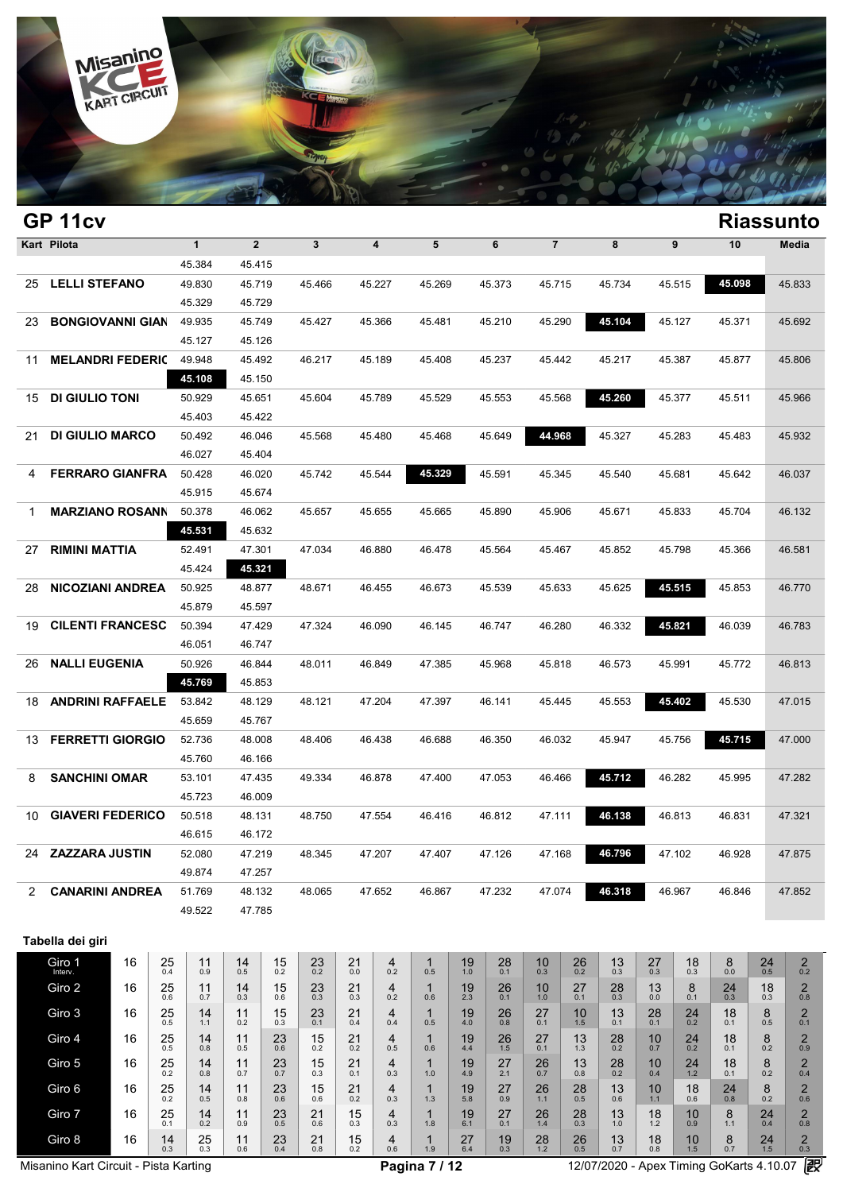

| $\mathbf{3}$<br>5<br>$\overline{7}$<br>Kart Pilota<br>$\mathbf{1}$<br>$\overline{2}$<br>$\overline{\mathbf{4}}$<br>6<br>8<br>$\boldsymbol{9}$<br>10<br>Media<br>45.384<br>45.415<br><b>LELLI STEFANO</b><br>45.098<br>45.833<br>49.830<br>45.719<br>45.466<br>45.227<br>45.269<br>45.373<br>45.715<br>45.734<br>45.515<br>25<br>45.329<br>45.729<br><b>BONGIOVANNI GIAN</b><br>45.104<br>45.127<br>49.935<br>45.749<br>45.427<br>45.366<br>45.481<br>45.210<br>45.290<br>45.371<br>45.692<br>23<br>45.127<br>45.126<br><b>MELANDRI FEDERIC</b><br>49.948<br>45.492<br>46.217<br>45.189<br>45.408<br>45.237<br>45.442<br>45.217<br>45.387<br>45.877<br>45.806<br>11<br>45.108<br>45.150<br>45.260<br><b>DI GIULIO TONI</b><br>45.377<br>50.929<br>45.651<br>45.604<br>45.789<br>45.529<br>45.553<br>45.568<br>45.511<br>45.966<br>15<br>45.403<br>45.422<br>44.968<br><b>DI GIULIO MARCO</b><br>45.649<br>45.327<br>50.492<br>46.046<br>45.568<br>45.480<br>45.468<br>45.283<br>45.483<br>45.932<br>21<br>46.027<br>45.404<br><b>FERRARO GIANFRA</b><br>45.329<br>45.591<br>45.742<br>45.544<br>45.540<br>45.642<br>46.037<br>50.428<br>46.020<br>45.345<br>45.681<br>4<br>45.915<br>45.674<br><b>MARZIANO ROSANN</b><br>50.378<br>46.062<br>45.657<br>45.655<br>45.665<br>45.890<br>45.906<br>45.671<br>45.833<br>45.704<br>46.132<br>1<br>45.531<br>45.632<br><b>RIMINI MATTIA</b><br>45.564<br>52.491<br>47.301<br>47.034<br>46.880<br>46.478<br>45.852<br>45.798<br>45.366<br>46.581<br>45.467<br>27<br>45.424<br>45.321<br>45.515<br><b>NICOZIANI ANDREA</b><br>45.625<br>45.853<br>50.925<br>48.877<br>48.671<br>46.455<br>46.673<br>45.539<br>45.633<br>46.770<br>28<br>45.879<br>45.597<br>46.332<br><b>CILENTI FRANCESC</b><br>50.394<br>47.324<br>46.090<br>46.747<br>46.280<br>45.821<br>46.039<br>46.783<br>47.429<br>46.145<br>19<br>46.051<br>46.747<br><b>NALLI EUGENIA</b><br>50.926<br>46.844<br>48.011<br>46.849<br>47.385<br>45.968<br>45.818<br>46.573<br>45.991<br>45.772<br>46.813<br>26<br>45.769<br>45.853<br>45.402<br><b>ANDRINI RAFFAELE</b><br>45.553<br>53.842<br>48.129<br>48.121<br>47.204<br>47.397<br>46.141<br>45.530<br>47.015<br>45.445<br>18<br>45.659<br>45.767<br><b>FERRETTI GIORGIO</b><br>45.715<br>47.000<br>52.736<br>48.008<br>46.438<br>46.688<br>46.350<br>46.032<br>45.947<br>45.756<br>13<br>48.406<br>45.760<br>46.166<br><b>SANCHINI OMAR</b><br>45.712<br>53.101<br>46.878<br>47.053<br>46.466<br>46.282<br>45.995<br>47.282<br>8<br>47.435<br>49.334<br>47.400<br>45.723<br>46.009<br><b>GIAVERI FEDERICO</b><br>48.750<br>46.812<br>47.111<br>46.138<br>46.813<br>47.321<br>10<br>50.518<br>48.131<br>47.554<br>46.416<br>46.831<br>46.615<br>46.172<br>47.219<br>47.207<br>47.126<br>47.168<br>46.796<br>47.102<br>47.875<br>ZAZZARA JUSTIN<br>52.080<br>48.345<br>47.407<br>46.928<br>24<br>49.874<br>47.257<br><b>CANARINI ANDREA</b><br>47.652<br>47.232<br>47.074<br>46.318<br>46.967<br>47.852<br>51.769<br>48.132<br>48.065<br>46.867<br>46.846<br>2<br>49.522<br>47.785<br>Tabella dei giri<br>Giro 1<br>16<br>25<br>$\overline{2}$<br>14<br>15<br>23<br>21<br>28<br>26<br>13<br>27<br>18<br>8<br>24<br>11<br>4<br>19<br>10<br>1<br>0.2<br>0.2<br>$0.0\,$<br>0.5<br>Interv.<br>0.4<br>0.5<br>0.2<br>0.0<br>0.5<br>1.0<br>0.1<br>0.3<br>0.3<br>0.2<br>0.9<br>0.2<br>0.3<br>0.3<br>$^{25}_{0.6}$<br>8<br>$_{\rm 0.8}^{\,2}$<br>Giro 2<br>16<br>14<br>15<br>21<br>$^{28}_{0.3}$<br>11<br>23<br>4<br>1<br>19<br>$^{26}_{0.1}$<br>$^{10}_{1.0}$<br>27<br>13<br>$^{24}_{0.3}$<br>18<br>0.3<br>0.2<br>$2.3\,$<br>0.3<br>0.1<br>0.1<br>0.7<br>0.6<br>0.3<br>0.3<br>0.6<br>0.0<br>Giro 3<br>$^{25}_{0.5}$<br>$^{2}_{0.1}$<br>16<br>11<br>15<br>21<br>$27_{0.1}$<br>$13_{0.1}$<br>$^{28}_{0.1}$<br>$^{24}_{0.2}$<br>$^{18}_{0.1}$<br>8<br>14<br>$^{23}_{0.1}$<br>4<br>$\mathbf 1$<br>19<br>$^{26}_{0.8}$<br>10<br>0.4<br>4.0<br>0.5<br>0.5<br>1.1<br>0.2<br>0.3<br>0.4<br>1.5<br>Giro 4<br>16<br>$^{25}_{0.5}$<br>$^{\,2}_{\scriptscriptstyle 0.9}$<br>14<br>11<br>$^{23}_{0.6}$<br>21<br>4<br>$^{28}_{0.2}$<br>10<br>$^{24}_{0.2}$<br>18<br>8<br>15<br>1<br>19<br>$^{26}_{1.5}$<br>$^{27}_{0.1}$<br>13<br>0.5<br>4.4<br>0.1<br>0.2<br>0.8<br>0.7<br>0.5<br>0.2<br>0.2<br>0.6<br>1.3<br>Giro 5<br>21<br>$\overline{c}$<br>16<br>14<br>11<br>15<br>$\mathbf 1$<br>27<br>13<br>28<br>10<br>24<br>18<br>4<br>19<br>8 | GP <sub>11cv</sub> |  |                     |     |     |               |     |     |     |     |     |     |               |     |     |     |     |     |     | <b>Riassunto</b> |
|----------------------------------------------------------------------------------------------------------------------------------------------------------------------------------------------------------------------------------------------------------------------------------------------------------------------------------------------------------------------------------------------------------------------------------------------------------------------------------------------------------------------------------------------------------------------------------------------------------------------------------------------------------------------------------------------------------------------------------------------------------------------------------------------------------------------------------------------------------------------------------------------------------------------------------------------------------------------------------------------------------------------------------------------------------------------------------------------------------------------------------------------------------------------------------------------------------------------------------------------------------------------------------------------------------------------------------------------------------------------------------------------------------------------------------------------------------------------------------------------------------------------------------------------------------------------------------------------------------------------------------------------------------------------------------------------------------------------------------------------------------------------------------------------------------------------------------------------------------------------------------------------------------------------------------------------------------------------------------------------------------------------------------------------------------------------------------------------------------------------------------------------------------------------------------------------------------------------------------------------------------------------------------------------------------------------------------------------------------------------------------------------------------------------------------------------------------------------------------------------------------------------------------------------------------------------------------------------------------------------------------------------------------------------------------------------------------------------------------------------------------------------------------------------------------------------------------------------------------------------------------------------------------------------------------------------------------------------------------------------------------------------------------------------------------------------------------------------------------------------------------------------------------------------------------------------------------------------------------------------------------------------------------------------------------------------------------------------------------------------------------------------------------------------------------------------------------------------------------------------------------------------------------------------------------------------------------------------------------------------------------------------------------------------------------------------------------------------------------------------------------------------------------------------------------------------------------------------------------------------------------------------------------------------------------------------------------------------------------------------------------------------------------------------------------------------------------------------------------------------------------------------------------------------------------------------------------------------------------------------------------------------------------------------------------------------------------------------------------------------|--------------------|--|---------------------|-----|-----|---------------|-----|-----|-----|-----|-----|-----|---------------|-----|-----|-----|-----|-----|-----|------------------|
|                                                                                                                                                                                                                                                                                                                                                                                                                                                                                                                                                                                                                                                                                                                                                                                                                                                                                                                                                                                                                                                                                                                                                                                                                                                                                                                                                                                                                                                                                                                                                                                                                                                                                                                                                                                                                                                                                                                                                                                                                                                                                                                                                                                                                                                                                                                                                                                                                                                                                                                                                                                                                                                                                                                                                                                                                                                                                                                                                                                                                                                                                                                                                                                                                                                                                                                                                                                                                                                                                                                                                                                                                                                                                                                                                                                                                                                                                                                                                                                                                                                                                                                                                                                                                                                                                                                                                                      |                    |  |                     |     |     |               |     |     |     |     |     |     |               |     |     |     |     |     |     |                  |
|                                                                                                                                                                                                                                                                                                                                                                                                                                                                                                                                                                                                                                                                                                                                                                                                                                                                                                                                                                                                                                                                                                                                                                                                                                                                                                                                                                                                                                                                                                                                                                                                                                                                                                                                                                                                                                                                                                                                                                                                                                                                                                                                                                                                                                                                                                                                                                                                                                                                                                                                                                                                                                                                                                                                                                                                                                                                                                                                                                                                                                                                                                                                                                                                                                                                                                                                                                                                                                                                                                                                                                                                                                                                                                                                                                                                                                                                                                                                                                                                                                                                                                                                                                                                                                                                                                                                                                      |                    |  |                     |     |     |               |     |     |     |     |     |     |               |     |     |     |     |     |     |                  |
|                                                                                                                                                                                                                                                                                                                                                                                                                                                                                                                                                                                                                                                                                                                                                                                                                                                                                                                                                                                                                                                                                                                                                                                                                                                                                                                                                                                                                                                                                                                                                                                                                                                                                                                                                                                                                                                                                                                                                                                                                                                                                                                                                                                                                                                                                                                                                                                                                                                                                                                                                                                                                                                                                                                                                                                                                                                                                                                                                                                                                                                                                                                                                                                                                                                                                                                                                                                                                                                                                                                                                                                                                                                                                                                                                                                                                                                                                                                                                                                                                                                                                                                                                                                                                                                                                                                                                                      |                    |  |                     |     |     |               |     |     |     |     |     |     |               |     |     |     |     |     |     |                  |
|                                                                                                                                                                                                                                                                                                                                                                                                                                                                                                                                                                                                                                                                                                                                                                                                                                                                                                                                                                                                                                                                                                                                                                                                                                                                                                                                                                                                                                                                                                                                                                                                                                                                                                                                                                                                                                                                                                                                                                                                                                                                                                                                                                                                                                                                                                                                                                                                                                                                                                                                                                                                                                                                                                                                                                                                                                                                                                                                                                                                                                                                                                                                                                                                                                                                                                                                                                                                                                                                                                                                                                                                                                                                                                                                                                                                                                                                                                                                                                                                                                                                                                                                                                                                                                                                                                                                                                      |                    |  |                     |     |     |               |     |     |     |     |     |     |               |     |     |     |     |     |     |                  |
|                                                                                                                                                                                                                                                                                                                                                                                                                                                                                                                                                                                                                                                                                                                                                                                                                                                                                                                                                                                                                                                                                                                                                                                                                                                                                                                                                                                                                                                                                                                                                                                                                                                                                                                                                                                                                                                                                                                                                                                                                                                                                                                                                                                                                                                                                                                                                                                                                                                                                                                                                                                                                                                                                                                                                                                                                                                                                                                                                                                                                                                                                                                                                                                                                                                                                                                                                                                                                                                                                                                                                                                                                                                                                                                                                                                                                                                                                                                                                                                                                                                                                                                                                                                                                                                                                                                                                                      |                    |  |                     |     |     |               |     |     |     |     |     |     |               |     |     |     |     |     |     |                  |
|                                                                                                                                                                                                                                                                                                                                                                                                                                                                                                                                                                                                                                                                                                                                                                                                                                                                                                                                                                                                                                                                                                                                                                                                                                                                                                                                                                                                                                                                                                                                                                                                                                                                                                                                                                                                                                                                                                                                                                                                                                                                                                                                                                                                                                                                                                                                                                                                                                                                                                                                                                                                                                                                                                                                                                                                                                                                                                                                                                                                                                                                                                                                                                                                                                                                                                                                                                                                                                                                                                                                                                                                                                                                                                                                                                                                                                                                                                                                                                                                                                                                                                                                                                                                                                                                                                                                                                      |                    |  |                     |     |     |               |     |     |     |     |     |     |               |     |     |     |     |     |     |                  |
|                                                                                                                                                                                                                                                                                                                                                                                                                                                                                                                                                                                                                                                                                                                                                                                                                                                                                                                                                                                                                                                                                                                                                                                                                                                                                                                                                                                                                                                                                                                                                                                                                                                                                                                                                                                                                                                                                                                                                                                                                                                                                                                                                                                                                                                                                                                                                                                                                                                                                                                                                                                                                                                                                                                                                                                                                                                                                                                                                                                                                                                                                                                                                                                                                                                                                                                                                                                                                                                                                                                                                                                                                                                                                                                                                                                                                                                                                                                                                                                                                                                                                                                                                                                                                                                                                                                                                                      |                    |  |                     |     |     |               |     |     |     |     |     |     |               |     |     |     |     |     |     |                  |
|                                                                                                                                                                                                                                                                                                                                                                                                                                                                                                                                                                                                                                                                                                                                                                                                                                                                                                                                                                                                                                                                                                                                                                                                                                                                                                                                                                                                                                                                                                                                                                                                                                                                                                                                                                                                                                                                                                                                                                                                                                                                                                                                                                                                                                                                                                                                                                                                                                                                                                                                                                                                                                                                                                                                                                                                                                                                                                                                                                                                                                                                                                                                                                                                                                                                                                                                                                                                                                                                                                                                                                                                                                                                                                                                                                                                                                                                                                                                                                                                                                                                                                                                                                                                                                                                                                                                                                      |                    |  |                     |     |     |               |     |     |     |     |     |     |               |     |     |     |     |     |     |                  |
|                                                                                                                                                                                                                                                                                                                                                                                                                                                                                                                                                                                                                                                                                                                                                                                                                                                                                                                                                                                                                                                                                                                                                                                                                                                                                                                                                                                                                                                                                                                                                                                                                                                                                                                                                                                                                                                                                                                                                                                                                                                                                                                                                                                                                                                                                                                                                                                                                                                                                                                                                                                                                                                                                                                                                                                                                                                                                                                                                                                                                                                                                                                                                                                                                                                                                                                                                                                                                                                                                                                                                                                                                                                                                                                                                                                                                                                                                                                                                                                                                                                                                                                                                                                                                                                                                                                                                                      |                    |  |                     |     |     |               |     |     |     |     |     |     |               |     |     |     |     |     |     |                  |
|                                                                                                                                                                                                                                                                                                                                                                                                                                                                                                                                                                                                                                                                                                                                                                                                                                                                                                                                                                                                                                                                                                                                                                                                                                                                                                                                                                                                                                                                                                                                                                                                                                                                                                                                                                                                                                                                                                                                                                                                                                                                                                                                                                                                                                                                                                                                                                                                                                                                                                                                                                                                                                                                                                                                                                                                                                                                                                                                                                                                                                                                                                                                                                                                                                                                                                                                                                                                                                                                                                                                                                                                                                                                                                                                                                                                                                                                                                                                                                                                                                                                                                                                                                                                                                                                                                                                                                      |                    |  |                     |     |     |               |     |     |     |     |     |     |               |     |     |     |     |     |     |                  |
|                                                                                                                                                                                                                                                                                                                                                                                                                                                                                                                                                                                                                                                                                                                                                                                                                                                                                                                                                                                                                                                                                                                                                                                                                                                                                                                                                                                                                                                                                                                                                                                                                                                                                                                                                                                                                                                                                                                                                                                                                                                                                                                                                                                                                                                                                                                                                                                                                                                                                                                                                                                                                                                                                                                                                                                                                                                                                                                                                                                                                                                                                                                                                                                                                                                                                                                                                                                                                                                                                                                                                                                                                                                                                                                                                                                                                                                                                                                                                                                                                                                                                                                                                                                                                                                                                                                                                                      |                    |  |                     |     |     |               |     |     |     |     |     |     |               |     |     |     |     |     |     |                  |
|                                                                                                                                                                                                                                                                                                                                                                                                                                                                                                                                                                                                                                                                                                                                                                                                                                                                                                                                                                                                                                                                                                                                                                                                                                                                                                                                                                                                                                                                                                                                                                                                                                                                                                                                                                                                                                                                                                                                                                                                                                                                                                                                                                                                                                                                                                                                                                                                                                                                                                                                                                                                                                                                                                                                                                                                                                                                                                                                                                                                                                                                                                                                                                                                                                                                                                                                                                                                                                                                                                                                                                                                                                                                                                                                                                                                                                                                                                                                                                                                                                                                                                                                                                                                                                                                                                                                                                      |                    |  |                     |     |     |               |     |     |     |     |     |     |               |     |     |     |     |     |     |                  |
|                                                                                                                                                                                                                                                                                                                                                                                                                                                                                                                                                                                                                                                                                                                                                                                                                                                                                                                                                                                                                                                                                                                                                                                                                                                                                                                                                                                                                                                                                                                                                                                                                                                                                                                                                                                                                                                                                                                                                                                                                                                                                                                                                                                                                                                                                                                                                                                                                                                                                                                                                                                                                                                                                                                                                                                                                                                                                                                                                                                                                                                                                                                                                                                                                                                                                                                                                                                                                                                                                                                                                                                                                                                                                                                                                                                                                                                                                                                                                                                                                                                                                                                                                                                                                                                                                                                                                                      |                    |  |                     |     |     |               |     |     |     |     |     |     |               |     |     |     |     |     |     |                  |
|                                                                                                                                                                                                                                                                                                                                                                                                                                                                                                                                                                                                                                                                                                                                                                                                                                                                                                                                                                                                                                                                                                                                                                                                                                                                                                                                                                                                                                                                                                                                                                                                                                                                                                                                                                                                                                                                                                                                                                                                                                                                                                                                                                                                                                                                                                                                                                                                                                                                                                                                                                                                                                                                                                                                                                                                                                                                                                                                                                                                                                                                                                                                                                                                                                                                                                                                                                                                                                                                                                                                                                                                                                                                                                                                                                                                                                                                                                                                                                                                                                                                                                                                                                                                                                                                                                                                                                      |                    |  |                     |     |     |               |     |     |     |     |     |     |               |     |     |     |     |     |     |                  |
|                                                                                                                                                                                                                                                                                                                                                                                                                                                                                                                                                                                                                                                                                                                                                                                                                                                                                                                                                                                                                                                                                                                                                                                                                                                                                                                                                                                                                                                                                                                                                                                                                                                                                                                                                                                                                                                                                                                                                                                                                                                                                                                                                                                                                                                                                                                                                                                                                                                                                                                                                                                                                                                                                                                                                                                                                                                                                                                                                                                                                                                                                                                                                                                                                                                                                                                                                                                                                                                                                                                                                                                                                                                                                                                                                                                                                                                                                                                                                                                                                                                                                                                                                                                                                                                                                                                                                                      |                    |  |                     |     |     |               |     |     |     |     |     |     |               |     |     |     |     |     |     |                  |
|                                                                                                                                                                                                                                                                                                                                                                                                                                                                                                                                                                                                                                                                                                                                                                                                                                                                                                                                                                                                                                                                                                                                                                                                                                                                                                                                                                                                                                                                                                                                                                                                                                                                                                                                                                                                                                                                                                                                                                                                                                                                                                                                                                                                                                                                                                                                                                                                                                                                                                                                                                                                                                                                                                                                                                                                                                                                                                                                                                                                                                                                                                                                                                                                                                                                                                                                                                                                                                                                                                                                                                                                                                                                                                                                                                                                                                                                                                                                                                                                                                                                                                                                                                                                                                                                                                                                                                      |                    |  |                     |     |     |               |     |     |     |     |     |     |               |     |     |     |     |     |     |                  |
|                                                                                                                                                                                                                                                                                                                                                                                                                                                                                                                                                                                                                                                                                                                                                                                                                                                                                                                                                                                                                                                                                                                                                                                                                                                                                                                                                                                                                                                                                                                                                                                                                                                                                                                                                                                                                                                                                                                                                                                                                                                                                                                                                                                                                                                                                                                                                                                                                                                                                                                                                                                                                                                                                                                                                                                                                                                                                                                                                                                                                                                                                                                                                                                                                                                                                                                                                                                                                                                                                                                                                                                                                                                                                                                                                                                                                                                                                                                                                                                                                                                                                                                                                                                                                                                                                                                                                                      |                    |  |                     |     |     |               |     |     |     |     |     |     |               |     |     |     |     |     |     |                  |
|                                                                                                                                                                                                                                                                                                                                                                                                                                                                                                                                                                                                                                                                                                                                                                                                                                                                                                                                                                                                                                                                                                                                                                                                                                                                                                                                                                                                                                                                                                                                                                                                                                                                                                                                                                                                                                                                                                                                                                                                                                                                                                                                                                                                                                                                                                                                                                                                                                                                                                                                                                                                                                                                                                                                                                                                                                                                                                                                                                                                                                                                                                                                                                                                                                                                                                                                                                                                                                                                                                                                                                                                                                                                                                                                                                                                                                                                                                                                                                                                                                                                                                                                                                                                                                                                                                                                                                      |                    |  |                     |     |     |               |     |     |     |     |     |     |               |     |     |     |     |     |     |                  |
|                                                                                                                                                                                                                                                                                                                                                                                                                                                                                                                                                                                                                                                                                                                                                                                                                                                                                                                                                                                                                                                                                                                                                                                                                                                                                                                                                                                                                                                                                                                                                                                                                                                                                                                                                                                                                                                                                                                                                                                                                                                                                                                                                                                                                                                                                                                                                                                                                                                                                                                                                                                                                                                                                                                                                                                                                                                                                                                                                                                                                                                                                                                                                                                                                                                                                                                                                                                                                                                                                                                                                                                                                                                                                                                                                                                                                                                                                                                                                                                                                                                                                                                                                                                                                                                                                                                                                                      |                    |  |                     |     |     |               |     |     |     |     |     |     |               |     |     |     |     |     |     |                  |
|                                                                                                                                                                                                                                                                                                                                                                                                                                                                                                                                                                                                                                                                                                                                                                                                                                                                                                                                                                                                                                                                                                                                                                                                                                                                                                                                                                                                                                                                                                                                                                                                                                                                                                                                                                                                                                                                                                                                                                                                                                                                                                                                                                                                                                                                                                                                                                                                                                                                                                                                                                                                                                                                                                                                                                                                                                                                                                                                                                                                                                                                                                                                                                                                                                                                                                                                                                                                                                                                                                                                                                                                                                                                                                                                                                                                                                                                                                                                                                                                                                                                                                                                                                                                                                                                                                                                                                      |                    |  |                     |     |     |               |     |     |     |     |     |     |               |     |     |     |     |     |     |                  |
|                                                                                                                                                                                                                                                                                                                                                                                                                                                                                                                                                                                                                                                                                                                                                                                                                                                                                                                                                                                                                                                                                                                                                                                                                                                                                                                                                                                                                                                                                                                                                                                                                                                                                                                                                                                                                                                                                                                                                                                                                                                                                                                                                                                                                                                                                                                                                                                                                                                                                                                                                                                                                                                                                                                                                                                                                                                                                                                                                                                                                                                                                                                                                                                                                                                                                                                                                                                                                                                                                                                                                                                                                                                                                                                                                                                                                                                                                                                                                                                                                                                                                                                                                                                                                                                                                                                                                                      |                    |  |                     |     |     |               |     |     |     |     |     |     |               |     |     |     |     |     |     |                  |
|                                                                                                                                                                                                                                                                                                                                                                                                                                                                                                                                                                                                                                                                                                                                                                                                                                                                                                                                                                                                                                                                                                                                                                                                                                                                                                                                                                                                                                                                                                                                                                                                                                                                                                                                                                                                                                                                                                                                                                                                                                                                                                                                                                                                                                                                                                                                                                                                                                                                                                                                                                                                                                                                                                                                                                                                                                                                                                                                                                                                                                                                                                                                                                                                                                                                                                                                                                                                                                                                                                                                                                                                                                                                                                                                                                                                                                                                                                                                                                                                                                                                                                                                                                                                                                                                                                                                                                      |                    |  |                     |     |     |               |     |     |     |     |     |     |               |     |     |     |     |     |     |                  |
|                                                                                                                                                                                                                                                                                                                                                                                                                                                                                                                                                                                                                                                                                                                                                                                                                                                                                                                                                                                                                                                                                                                                                                                                                                                                                                                                                                                                                                                                                                                                                                                                                                                                                                                                                                                                                                                                                                                                                                                                                                                                                                                                                                                                                                                                                                                                                                                                                                                                                                                                                                                                                                                                                                                                                                                                                                                                                                                                                                                                                                                                                                                                                                                                                                                                                                                                                                                                                                                                                                                                                                                                                                                                                                                                                                                                                                                                                                                                                                                                                                                                                                                                                                                                                                                                                                                                                                      |                    |  |                     |     |     |               |     |     |     |     |     |     |               |     |     |     |     |     |     |                  |
|                                                                                                                                                                                                                                                                                                                                                                                                                                                                                                                                                                                                                                                                                                                                                                                                                                                                                                                                                                                                                                                                                                                                                                                                                                                                                                                                                                                                                                                                                                                                                                                                                                                                                                                                                                                                                                                                                                                                                                                                                                                                                                                                                                                                                                                                                                                                                                                                                                                                                                                                                                                                                                                                                                                                                                                                                                                                                                                                                                                                                                                                                                                                                                                                                                                                                                                                                                                                                                                                                                                                                                                                                                                                                                                                                                                                                                                                                                                                                                                                                                                                                                                                                                                                                                                                                                                                                                      |                    |  |                     |     |     |               |     |     |     |     |     |     |               |     |     |     |     |     |     |                  |
|                                                                                                                                                                                                                                                                                                                                                                                                                                                                                                                                                                                                                                                                                                                                                                                                                                                                                                                                                                                                                                                                                                                                                                                                                                                                                                                                                                                                                                                                                                                                                                                                                                                                                                                                                                                                                                                                                                                                                                                                                                                                                                                                                                                                                                                                                                                                                                                                                                                                                                                                                                                                                                                                                                                                                                                                                                                                                                                                                                                                                                                                                                                                                                                                                                                                                                                                                                                                                                                                                                                                                                                                                                                                                                                                                                                                                                                                                                                                                                                                                                                                                                                                                                                                                                                                                                                                                                      |                    |  |                     |     |     |               |     |     |     |     |     |     |               |     |     |     |     |     |     |                  |
|                                                                                                                                                                                                                                                                                                                                                                                                                                                                                                                                                                                                                                                                                                                                                                                                                                                                                                                                                                                                                                                                                                                                                                                                                                                                                                                                                                                                                                                                                                                                                                                                                                                                                                                                                                                                                                                                                                                                                                                                                                                                                                                                                                                                                                                                                                                                                                                                                                                                                                                                                                                                                                                                                                                                                                                                                                                                                                                                                                                                                                                                                                                                                                                                                                                                                                                                                                                                                                                                                                                                                                                                                                                                                                                                                                                                                                                                                                                                                                                                                                                                                                                                                                                                                                                                                                                                                                      |                    |  |                     |     |     |               |     |     |     |     |     |     |               |     |     |     |     |     |     |                  |
|                                                                                                                                                                                                                                                                                                                                                                                                                                                                                                                                                                                                                                                                                                                                                                                                                                                                                                                                                                                                                                                                                                                                                                                                                                                                                                                                                                                                                                                                                                                                                                                                                                                                                                                                                                                                                                                                                                                                                                                                                                                                                                                                                                                                                                                                                                                                                                                                                                                                                                                                                                                                                                                                                                                                                                                                                                                                                                                                                                                                                                                                                                                                                                                                                                                                                                                                                                                                                                                                                                                                                                                                                                                                                                                                                                                                                                                                                                                                                                                                                                                                                                                                                                                                                                                                                                                                                                      |                    |  |                     |     |     |               |     |     |     |     |     |     |               |     |     |     |     |     |     |                  |
|                                                                                                                                                                                                                                                                                                                                                                                                                                                                                                                                                                                                                                                                                                                                                                                                                                                                                                                                                                                                                                                                                                                                                                                                                                                                                                                                                                                                                                                                                                                                                                                                                                                                                                                                                                                                                                                                                                                                                                                                                                                                                                                                                                                                                                                                                                                                                                                                                                                                                                                                                                                                                                                                                                                                                                                                                                                                                                                                                                                                                                                                                                                                                                                                                                                                                                                                                                                                                                                                                                                                                                                                                                                                                                                                                                                                                                                                                                                                                                                                                                                                                                                                                                                                                                                                                                                                                                      |                    |  |                     |     |     |               |     |     |     |     |     |     |               |     |     |     |     |     |     |                  |
|                                                                                                                                                                                                                                                                                                                                                                                                                                                                                                                                                                                                                                                                                                                                                                                                                                                                                                                                                                                                                                                                                                                                                                                                                                                                                                                                                                                                                                                                                                                                                                                                                                                                                                                                                                                                                                                                                                                                                                                                                                                                                                                                                                                                                                                                                                                                                                                                                                                                                                                                                                                                                                                                                                                                                                                                                                                                                                                                                                                                                                                                                                                                                                                                                                                                                                                                                                                                                                                                                                                                                                                                                                                                                                                                                                                                                                                                                                                                                                                                                                                                                                                                                                                                                                                                                                                                                                      |                    |  |                     |     |     |               |     |     |     |     |     |     |               |     |     |     |     |     |     |                  |
|                                                                                                                                                                                                                                                                                                                                                                                                                                                                                                                                                                                                                                                                                                                                                                                                                                                                                                                                                                                                                                                                                                                                                                                                                                                                                                                                                                                                                                                                                                                                                                                                                                                                                                                                                                                                                                                                                                                                                                                                                                                                                                                                                                                                                                                                                                                                                                                                                                                                                                                                                                                                                                                                                                                                                                                                                                                                                                                                                                                                                                                                                                                                                                                                                                                                                                                                                                                                                                                                                                                                                                                                                                                                                                                                                                                                                                                                                                                                                                                                                                                                                                                                                                                                                                                                                                                                                                      |                    |  |                     |     |     |               |     |     |     |     |     |     |               |     |     |     |     |     |     |                  |
|                                                                                                                                                                                                                                                                                                                                                                                                                                                                                                                                                                                                                                                                                                                                                                                                                                                                                                                                                                                                                                                                                                                                                                                                                                                                                                                                                                                                                                                                                                                                                                                                                                                                                                                                                                                                                                                                                                                                                                                                                                                                                                                                                                                                                                                                                                                                                                                                                                                                                                                                                                                                                                                                                                                                                                                                                                                                                                                                                                                                                                                                                                                                                                                                                                                                                                                                                                                                                                                                                                                                                                                                                                                                                                                                                                                                                                                                                                                                                                                                                                                                                                                                                                                                                                                                                                                                                                      |                    |  |                     |     |     |               |     |     |     |     |     |     |               |     |     |     |     |     |     |                  |
|                                                                                                                                                                                                                                                                                                                                                                                                                                                                                                                                                                                                                                                                                                                                                                                                                                                                                                                                                                                                                                                                                                                                                                                                                                                                                                                                                                                                                                                                                                                                                                                                                                                                                                                                                                                                                                                                                                                                                                                                                                                                                                                                                                                                                                                                                                                                                                                                                                                                                                                                                                                                                                                                                                                                                                                                                                                                                                                                                                                                                                                                                                                                                                                                                                                                                                                                                                                                                                                                                                                                                                                                                                                                                                                                                                                                                                                                                                                                                                                                                                                                                                                                                                                                                                                                                                                                                                      |                    |  |                     |     |     |               |     |     |     |     |     |     |               |     |     |     |     |     |     |                  |
|                                                                                                                                                                                                                                                                                                                                                                                                                                                                                                                                                                                                                                                                                                                                                                                                                                                                                                                                                                                                                                                                                                                                                                                                                                                                                                                                                                                                                                                                                                                                                                                                                                                                                                                                                                                                                                                                                                                                                                                                                                                                                                                                                                                                                                                                                                                                                                                                                                                                                                                                                                                                                                                                                                                                                                                                                                                                                                                                                                                                                                                                                                                                                                                                                                                                                                                                                                                                                                                                                                                                                                                                                                                                                                                                                                                                                                                                                                                                                                                                                                                                                                                                                                                                                                                                                                                                                                      |                    |  |                     |     |     |               |     |     |     |     |     |     |               |     |     |     |     |     |     |                  |
|                                                                                                                                                                                                                                                                                                                                                                                                                                                                                                                                                                                                                                                                                                                                                                                                                                                                                                                                                                                                                                                                                                                                                                                                                                                                                                                                                                                                                                                                                                                                                                                                                                                                                                                                                                                                                                                                                                                                                                                                                                                                                                                                                                                                                                                                                                                                                                                                                                                                                                                                                                                                                                                                                                                                                                                                                                                                                                                                                                                                                                                                                                                                                                                                                                                                                                                                                                                                                                                                                                                                                                                                                                                                                                                                                                                                                                                                                                                                                                                                                                                                                                                                                                                                                                                                                                                                                                      |                    |  |                     |     |     |               |     |     |     |     |     |     |               |     |     |     |     |     |     |                  |
|                                                                                                                                                                                                                                                                                                                                                                                                                                                                                                                                                                                                                                                                                                                                                                                                                                                                                                                                                                                                                                                                                                                                                                                                                                                                                                                                                                                                                                                                                                                                                                                                                                                                                                                                                                                                                                                                                                                                                                                                                                                                                                                                                                                                                                                                                                                                                                                                                                                                                                                                                                                                                                                                                                                                                                                                                                                                                                                                                                                                                                                                                                                                                                                                                                                                                                                                                                                                                                                                                                                                                                                                                                                                                                                                                                                                                                                                                                                                                                                                                                                                                                                                                                                                                                                                                                                                                                      |                    |  |                     |     |     |               |     |     |     |     |     |     |               |     |     |     |     |     |     |                  |
|                                                                                                                                                                                                                                                                                                                                                                                                                                                                                                                                                                                                                                                                                                                                                                                                                                                                                                                                                                                                                                                                                                                                                                                                                                                                                                                                                                                                                                                                                                                                                                                                                                                                                                                                                                                                                                                                                                                                                                                                                                                                                                                                                                                                                                                                                                                                                                                                                                                                                                                                                                                                                                                                                                                                                                                                                                                                                                                                                                                                                                                                                                                                                                                                                                                                                                                                                                                                                                                                                                                                                                                                                                                                                                                                                                                                                                                                                                                                                                                                                                                                                                                                                                                                                                                                                                                                                                      |                    |  |                     |     |     |               |     |     |     |     |     |     |               |     |     |     |     |     |     |                  |
|                                                                                                                                                                                                                                                                                                                                                                                                                                                                                                                                                                                                                                                                                                                                                                                                                                                                                                                                                                                                                                                                                                                                                                                                                                                                                                                                                                                                                                                                                                                                                                                                                                                                                                                                                                                                                                                                                                                                                                                                                                                                                                                                                                                                                                                                                                                                                                                                                                                                                                                                                                                                                                                                                                                                                                                                                                                                                                                                                                                                                                                                                                                                                                                                                                                                                                                                                                                                                                                                                                                                                                                                                                                                                                                                                                                                                                                                                                                                                                                                                                                                                                                                                                                                                                                                                                                                                                      |                    |  |                     |     |     |               |     |     |     |     |     |     |               |     |     |     |     |     |     |                  |
|                                                                                                                                                                                                                                                                                                                                                                                                                                                                                                                                                                                                                                                                                                                                                                                                                                                                                                                                                                                                                                                                                                                                                                                                                                                                                                                                                                                                                                                                                                                                                                                                                                                                                                                                                                                                                                                                                                                                                                                                                                                                                                                                                                                                                                                                                                                                                                                                                                                                                                                                                                                                                                                                                                                                                                                                                                                                                                                                                                                                                                                                                                                                                                                                                                                                                                                                                                                                                                                                                                                                                                                                                                                                                                                                                                                                                                                                                                                                                                                                                                                                                                                                                                                                                                                                                                                                                                      |                    |  |                     |     |     |               |     |     |     |     |     |     |               |     |     |     |     |     |     |                  |
|                                                                                                                                                                                                                                                                                                                                                                                                                                                                                                                                                                                                                                                                                                                                                                                                                                                                                                                                                                                                                                                                                                                                                                                                                                                                                                                                                                                                                                                                                                                                                                                                                                                                                                                                                                                                                                                                                                                                                                                                                                                                                                                                                                                                                                                                                                                                                                                                                                                                                                                                                                                                                                                                                                                                                                                                                                                                                                                                                                                                                                                                                                                                                                                                                                                                                                                                                                                                                                                                                                                                                                                                                                                                                                                                                                                                                                                                                                                                                                                                                                                                                                                                                                                                                                                                                                                                                                      |                    |  |                     |     |     |               |     |     |     |     |     |     |               |     |     |     |     |     |     |                  |
|                                                                                                                                                                                                                                                                                                                                                                                                                                                                                                                                                                                                                                                                                                                                                                                                                                                                                                                                                                                                                                                                                                                                                                                                                                                                                                                                                                                                                                                                                                                                                                                                                                                                                                                                                                                                                                                                                                                                                                                                                                                                                                                                                                                                                                                                                                                                                                                                                                                                                                                                                                                                                                                                                                                                                                                                                                                                                                                                                                                                                                                                                                                                                                                                                                                                                                                                                                                                                                                                                                                                                                                                                                                                                                                                                                                                                                                                                                                                                                                                                                                                                                                                                                                                                                                                                                                                                                      |                    |  |                     |     |     |               |     |     |     |     |     |     |               |     |     |     |     |     |     |                  |
|                                                                                                                                                                                                                                                                                                                                                                                                                                                                                                                                                                                                                                                                                                                                                                                                                                                                                                                                                                                                                                                                                                                                                                                                                                                                                                                                                                                                                                                                                                                                                                                                                                                                                                                                                                                                                                                                                                                                                                                                                                                                                                                                                                                                                                                                                                                                                                                                                                                                                                                                                                                                                                                                                                                                                                                                                                                                                                                                                                                                                                                                                                                                                                                                                                                                                                                                                                                                                                                                                                                                                                                                                                                                                                                                                                                                                                                                                                                                                                                                                                                                                                                                                                                                                                                                                                                                                                      |                    |  |                     |     |     |               |     |     |     |     |     |     |               |     |     |     |     |     |     |                  |
|                                                                                                                                                                                                                                                                                                                                                                                                                                                                                                                                                                                                                                                                                                                                                                                                                                                                                                                                                                                                                                                                                                                                                                                                                                                                                                                                                                                                                                                                                                                                                                                                                                                                                                                                                                                                                                                                                                                                                                                                                                                                                                                                                                                                                                                                                                                                                                                                                                                                                                                                                                                                                                                                                                                                                                                                                                                                                                                                                                                                                                                                                                                                                                                                                                                                                                                                                                                                                                                                                                                                                                                                                                                                                                                                                                                                                                                                                                                                                                                                                                                                                                                                                                                                                                                                                                                                                                      |                    |  |                     |     |     |               |     |     |     |     |     |     |               |     |     |     |     |     |     |                  |
|                                                                                                                                                                                                                                                                                                                                                                                                                                                                                                                                                                                                                                                                                                                                                                                                                                                                                                                                                                                                                                                                                                                                                                                                                                                                                                                                                                                                                                                                                                                                                                                                                                                                                                                                                                                                                                                                                                                                                                                                                                                                                                                                                                                                                                                                                                                                                                                                                                                                                                                                                                                                                                                                                                                                                                                                                                                                                                                                                                                                                                                                                                                                                                                                                                                                                                                                                                                                                                                                                                                                                                                                                                                                                                                                                                                                                                                                                                                                                                                                                                                                                                                                                                                                                                                                                                                                                                      |                    |  |                     |     |     |               |     |     |     |     |     |     |               |     |     |     |     |     |     |                  |
|                                                                                                                                                                                                                                                                                                                                                                                                                                                                                                                                                                                                                                                                                                                                                                                                                                                                                                                                                                                                                                                                                                                                                                                                                                                                                                                                                                                                                                                                                                                                                                                                                                                                                                                                                                                                                                                                                                                                                                                                                                                                                                                                                                                                                                                                                                                                                                                                                                                                                                                                                                                                                                                                                                                                                                                                                                                                                                                                                                                                                                                                                                                                                                                                                                                                                                                                                                                                                                                                                                                                                                                                                                                                                                                                                                                                                                                                                                                                                                                                                                                                                                                                                                                                                                                                                                                                                                      |                    |  | $\mathop{25}_{0.2}$ | 0.8 | 0.7 | $^{23}_{0.7}$ | 0.3 | 0.1 | 0.3 | 1.0 | 4.9 | 2.1 | $^{26}_{0.7}$ | 0.8 | 0.2 | 0.4 | 1.2 | 0.1 | 0.2 | 0.4              |

Giro 6  $16 \begin{array}{|c|c|} 25 \hline 25 \end{array}$ 

Giro 7 16

 $\begin{array}{c|cc}\n 25 & 14 & 11 \\
 \hline\n 0.2 & 0.5 & 0.8 \\
 25 & 14 & 11 \\
 \hline\n 0.1 & 0.2 & 0.9\n \end{array}$ 

 $^{25}_{0.3}$ 

 $\begin{array}{c|c} 14 & 11 \\ 0.2 & 0.9 \end{array}$ 

 $11$ <sub>0.6</sub>

 $\begin{array}{|c|c|c|c|c|}\n 14 & 11 & 23 & 15 \\
 \hline\n0.5 & 0.8 & 0.6 & 0.6\n \end{array}$ 

 $^{23}_{0.5}$  $\begin{array}{|c|c|c|c|c|}\n 11 & 23 & 21 & 15 \\
 \hline\n0.9 & 0.5 & 0.6 & 0.3\n \end{array}$ 

 $23$ <sub>0.4</sub>

 $15 \atop 0.6$ 

 $^{21}_{0.8}$ 

 $^{21}_{0.2}$ 

 $15$ <sub>0.2</sub>

 $\begin{array}{|c|c|c|c|c|}\n 21 & 15 & 4 & 1 \\
 \hline\n0.6 & 0.3 & 0.3 & 1.8\n \end{array}$ 

 $\begin{array}{c|c} 4 & 1 \\ 0.3 & 1.3 \end{array}$ 

 $\begin{array}{c|c} 4 & 1 \\ 0.6 & 1.9 \end{array}$ 

 $19_{\scriptscriptstyle{5.8}}$ 

 $\frac{27}{6.4}$ 

 $\begin{array}{c|c} 1 & 19 \\ 1.8 & 6.1 \end{array}$ 

 $\frac{27}{0.9}$ 19 27 26 28<br>
<sub>5.8</sub> 0.9 1.1 0.5

 $19<sub>0.3</sub>$  $\begin{array}{|c|c|c|c|c|}\n 27 & 19 & 28 & 26 \\
 \hline\n6.4 & 0.3 & 1.2 & 0.5\n \end{array}$ 

1.8 19 27 26

 $28 \atop 0.5$ 

 $\frac{26}{0.5}$ 

 $\begin{array}{|c|c|c|c|c|}\n 27 & 26 & 28 & 13 \\
 \hline\n0.1 & 1.4 & 0.3 & 1.0\n\end{array}$ 

 $\begin{array}{|c|c|c|}\n 13 & 10 \\
 \hline\n 0.6 & 1.1\n \end{array}$ 

 $18 \atop 1.2$ 

 $18<sub>0.8</sub>$ 

 $13 \atop 1.0$ 

 $13<sub>0.7</sub>$ 

Misanino Kart Circuit - Pista Karting **Exercisies Concrete Pagina 7 / 12** 12/07/2020 - Apex Timing GoKarts 4.10.07

 $18<sub>0.6</sub>$  $\begin{array}{|c|c|c|c|c|}\n 10 & 18 & 24 & 8 \\
 \hline\n 1.1 & 0.6 & 0.8 & 0.2\n \end{array}$ 

 $\begin{array}{c|c} 10 & 8 \\ 0.9 & 1.1 \end{array}$ 

 $\begin{array}{c|c} 10 & 8 \\ 1.5 & 0.7 \end{array}$ 

 $\begin{array}{|c|c|c|c|}\n 24 & 8 & 2 \\
 \hline\n0.8 & 0.2 & 0.6\n \end{array}$ 

 $\begin{array}{ccc} 24 & 2 \\ 0.4 & 0.8 \end{array}$ 

 $\begin{array}{ccc} 24 & 2 \\ 1.5 & 0.3 \end{array}$ 

 $\begin{array}{|c|c|c|c|c|}\n 10 & 8 & 24 & 2 \\
 \hline\n 0.9 & 1.1 & 0.4 & 0.8\n \end{array}$ 

 $\begin{array}{|c|c|c|c|c|}\n 10 & 8 & 24 & 2 \\
 \hline\n 1.5 & 0.7 & 1.5 & 0.3\n \end{array}$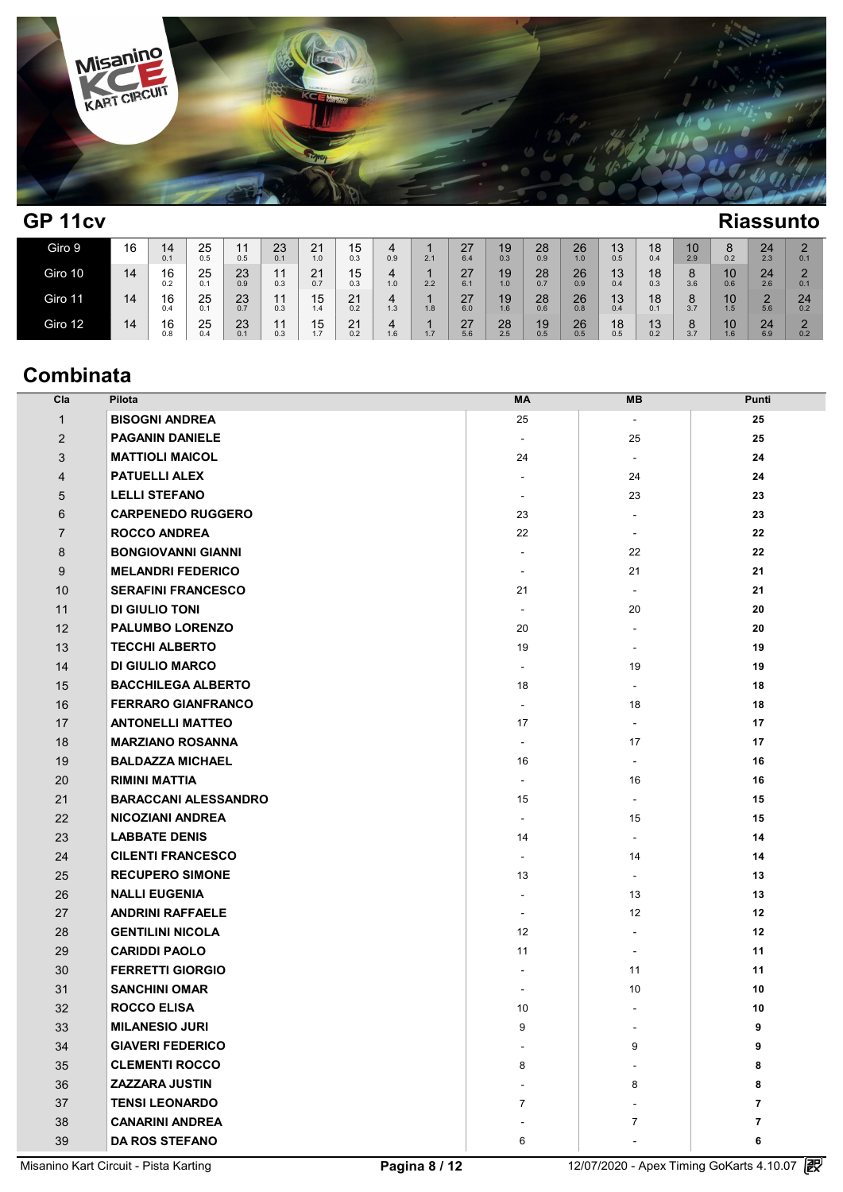

| GP <sub>11cv</sub> |    |           |           |           |           |                     |                     |          |     |               | <b>Riassunto</b>       |               |           |            |           |           |           |                  |                                  |  |
|--------------------|----|-----------|-----------|-----------|-----------|---------------------|---------------------|----------|-----|---------------|------------------------|---------------|-----------|------------|-----------|-----------|-----------|------------------|----------------------------------|--|
| Giro 9             | 16 | 14<br>0.1 | 25<br>0.5 | 11<br>0.5 | 23<br>0.1 | $^{21}_{1.0}$       | $15$ <sub>0.3</sub> | 4<br>0.9 | 2.1 | $^{27}_{6.4}$ | 19<br>0.3 <sup>°</sup> | $^{28}_{0.9}$ | 26<br>1.0 | $13_{0.5}$ | 18<br>0.4 | 10<br>2.9 | O<br>0.2  | $\frac{24}{2.3}$ | $\Omega$<br>$rac{2}{0.1}$        |  |
| Giro 10            | 14 | 16<br>0.2 | 25<br>0.1 | 23<br>0.9 | 11<br>0.3 | 21<br>0.7           | 15<br>0.3           | 4<br>1.0 | 2.2 | 27<br>6.1     | 19<br>1.0              | 28<br>0.7     | 26<br>0.9 | 13<br>0.4  | 18<br>0.3 | Ö<br>3.6  | 10<br>0.6 | 24<br>2.6        | $\mathcal{D}$<br>0.1             |  |
| Giro 11            | 14 | 16<br>0.4 | 25<br>0.1 | 23<br>0.7 | 11<br>0.3 | 15<br>1.4           | 21<br>0.2           | 4<br>1.3 | 1.8 | 27<br>6.0     | 19<br>1.6              | 28<br>0.6     | 26<br>0.8 | 13<br>0.4  | 18<br>0.1 | 8<br>3.7  | 10<br>1.5 | $\Omega$<br>5.6  | 24<br>0.2                        |  |
| Giro 12            | 14 | 16<br>0.8 | 25        | 23<br>0.1 | 11<br>0.3 | 15<br>17<br>$\cdot$ | 21<br>0.2           | 4<br>1.6 | 1.7 | 27<br>5.6     | 28<br>2.5              | 19<br>0.5     | 26<br>0.5 | 18<br>0.5  | 13<br>0.2 | ŏ<br>3.7  | 10<br>1.6 | 24<br>6.9        | $\mathcal{D}$<br><u>.</u><br>0.2 |  |

# **Combinata**

| Cla            | Pilota                      | MA                       | MВ                       | Punti          |
|----------------|-----------------------------|--------------------------|--------------------------|----------------|
| $\mathbf{1}$   | <b>BISOGNI ANDREA</b>       | 25                       | $\overline{\phantom{a}}$ | 25             |
| $\overline{2}$ | <b>PAGANIN DANIELE</b>      | $\sim$                   | 25                       | 25             |
| 3              | <b>MATTIOLI MAICOL</b>      | 24                       | $\overline{\phantom{a}}$ | 24             |
| 4              | <b>PATUELLI ALEX</b>        | $\sim$                   | 24                       | 24             |
| 5              | <b>LELLI STEFANO</b>        | $\overline{\phantom{a}}$ | 23                       | 23             |
| 6              | <b>CARPENEDO RUGGERO</b>    | 23                       | $\overline{\phantom{a}}$ | 23             |
| $\overline{7}$ | <b>ROCCO ANDREA</b>         | 22                       | $\sim$                   | 22             |
| 8              | <b>BONGIOVANNI GIANNI</b>   | $\sim$                   | 22                       | 22             |
| 9              | <b>MELANDRI FEDERICO</b>    | $\sim$                   | 21                       | 21             |
| 10             | <b>SERAFINI FRANCESCO</b>   | 21                       |                          | 21             |
| 11             | <b>DI GIULIO TONI</b>       | $\overline{\phantom{a}}$ | 20                       | 20             |
| 12             | <b>PALUMBO LORENZO</b>      | 20                       | ÷.                       | 20             |
| 13             | <b>TECCHI ALBERTO</b>       | 19                       | $\overline{\phantom{a}}$ | 19             |
| 14             | <b>DI GIULIO MARCO</b>      | $\blacksquare$           | 19                       | 19             |
| 15             | <b>BACCHILEGA ALBERTO</b>   | 18                       | $\overline{\phantom{a}}$ | 18             |
| 16             | <b>FERRARO GIANFRANCO</b>   | $\blacksquare$           | 18                       | 18             |
| 17             | <b>ANTONELLI MATTEO</b>     | 17                       | $\overline{\phantom{a}}$ | 17             |
| 18             | <b>MARZIANO ROSANNA</b>     | $\blacksquare$           | 17                       | 17             |
| 19             | <b>BALDAZZA MICHAEL</b>     | 16                       | $\overline{\phantom{a}}$ | 16             |
| 20             | <b>RIMINI MATTIA</b>        | $\overline{\phantom{a}}$ | 16                       | 16             |
| 21             | <b>BARACCANI ALESSANDRO</b> | 15                       | $\overline{\phantom{a}}$ | 15             |
| 22             | <b>NICOZIANI ANDREA</b>     | $\blacksquare$           | 15                       | 15             |
| 23             | <b>LABBATE DENIS</b>        | 14                       | $\overline{\phantom{a}}$ | 14             |
| 24             | <b>CILENTI FRANCESCO</b>    | $\sim$                   | 14                       | 14             |
| 25             | <b>RECUPERO SIMONE</b>      | 13                       | ÷.                       | 13             |
| 26             | <b>NALLI EUGENIA</b>        | $\sim$                   | 13                       | 13             |
| 27             | <b>ANDRINI RAFFAELE</b>     | $\sim$                   | 12                       | 12             |
| 28             | <b>GENTILINI NICOLA</b>     | 12                       | $\overline{\phantom{a}}$ | 12             |
| 29             | <b>CARIDDI PAOLO</b>        | 11                       | $\overline{\phantom{a}}$ | 11             |
| 30             | <b>FERRETTI GIORGIO</b>     | $\overline{\phantom{a}}$ | 11                       | 11             |
| 31             | <b>SANCHINI OMAR</b>        | $\overline{\phantom{a}}$ | 10                       | 10             |
| 32             | <b>ROCCO ELISA</b>          | 10                       | ÷.                       | 10             |
| 33             | <b>MILANESIO JURI</b>       | 9                        |                          | 9              |
| 34             | <b>GIAVERI FEDERICO</b>     |                          | 9                        | 9              |
| 35             | <b>CLEMENTI ROCCO</b>       | 8                        |                          | 8              |
| 36             | <b>ZAZZARA JUSTIN</b>       |                          | 8                        | 8              |
| 37             | <b>TENSI LEONARDO</b>       | $\overline{7}$           |                          | $\overline{7}$ |
| 38             | <b>CANARINI ANDREA</b>      |                          | $\overline{7}$           | $\overline{7}$ |
| 39             | <b>DA ROS STEFANO</b>       | 6                        |                          | 6              |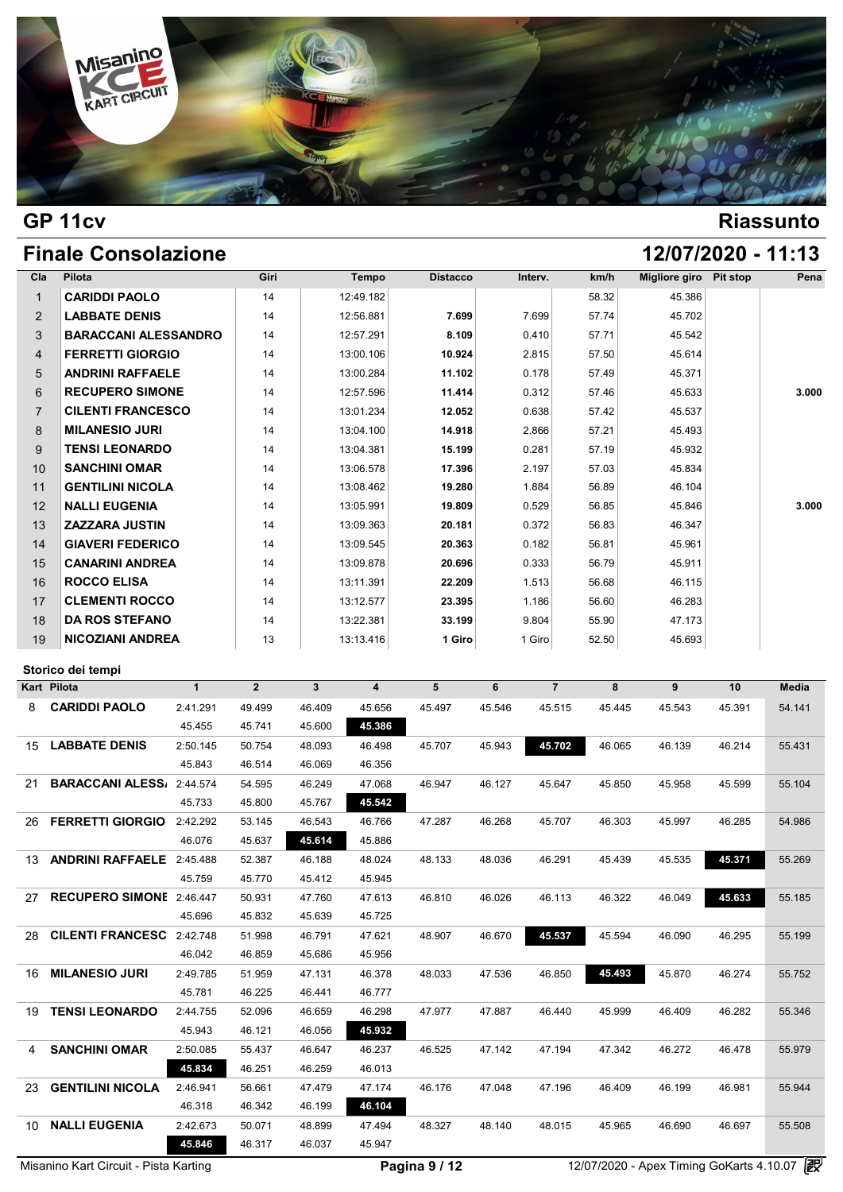

## **GP 11cv Riassunto**

# **Finale Consolazione 12/07/2020 - 11:13**

| Cla            | Pilota                      | Giri | Tempo     | <b>Distacco</b> | Interv. | km/h  | Migliore giro | <b>Pit stop</b> | Pena  |
|----------------|-----------------------------|------|-----------|-----------------|---------|-------|---------------|-----------------|-------|
| $\mathbf{1}$   | <b>CARIDDI PAOLO</b>        | 14   | 12:49.182 |                 |         | 58.32 | 45.386        |                 |       |
| $\overline{2}$ | <b>LABBATE DENIS</b>        | 14   | 12:56.881 | 7.699           | 7.699   | 57.74 | 45.702        |                 |       |
| 3              | <b>BARACCANI ALESSANDRO</b> | 14   | 12:57.291 | 8.109           | 0.410   | 57.71 | 45.542        |                 |       |
| 4              | <b>FERRETTI GIORGIO</b>     | 14   | 13:00.106 | 10.924          | 2.815   | 57.50 | 45.614        |                 |       |
| 5              | <b>ANDRINI RAFFAELE</b>     | 14   | 13:00.284 | 11.102          | 0.178   | 57.49 | 45.371        |                 |       |
| 6              | <b>RECUPERO SIMONE</b>      | 14   | 12:57.596 | 11.414          | 0.312   | 57.46 | 45.633        |                 | 3.000 |
| $\overline{7}$ | <b>CILENTI FRANCESCO</b>    | 14   | 13:01.234 | 12.052          | 0.638   | 57.42 | 45.537        |                 |       |
| 8              | <b>MILANESIO JURI</b>       | 14   | 13:04.100 | 14.918          | 2.866   | 57.21 | 45.493        |                 |       |
| 9              | <b>TENSI LEONARDO</b>       | 14   | 13:04.381 | 15.199          | 0.281   | 57.19 | 45.932        |                 |       |
| 10             | <b>SANCHINI OMAR</b>        | 14   | 13:06.578 | 17.396          | 2.197   | 57.03 | 45.834        |                 |       |
| 11             | <b>GENTILINI NICOLA</b>     | 14   | 13:08.462 | 19.280          | 1.884   | 56.89 | 46.104        |                 |       |
| 12             | <b>NALLI EUGENIA</b>        | 14   | 13:05.991 | 19.809          | 0.529   | 56.85 | 45.846        |                 | 3.000 |
| 13             | <b>ZAZZARA JUSTIN</b>       | 14   | 13:09.363 | 20.181          | 0.372   | 56.83 | 46.347        |                 |       |
| 14             | <b>GIAVERI FEDERICO</b>     | 14   | 13:09.545 | 20.363          | 0.182   | 56.81 | 45.961        |                 |       |
| 15             | <b>CANARINI ANDREA</b>      | 14   | 13:09.878 | 20.696          | 0.333   | 56.79 | 45.911        |                 |       |
| 16             | <b>ROCCO ELISA</b>          | 14   | 13:11.391 | 22.209          | 1.513   | 56.68 | 46.115        |                 |       |
| 17             | <b>CLEMENTI ROCCO</b>       | 14   | 13:12.577 | 23.395          | 1.186   | 56.60 | 46.283        |                 |       |
| 18             | <b>DA ROS STEFANO</b>       | 14   | 13:22.381 | 33.199          | 9.804   | 55.90 | 47.173        |                 |       |
| 19             | <b>NICOZIANI ANDREA</b>     | 13   | 13:13.416 | 1 Giro          | 1 Giro  | 52.50 | 45.693        |                 |       |

| <b>Kart Pilota</b>      | $\mathbf{1}$      | $\overline{2}$                                               | 3      | $\overline{\mathbf{4}}$ | 5      | 6      | $\overline{7}$ | 8      | 9      | 10     | <b>Media</b> |
|-------------------------|-------------------|--------------------------------------------------------------|--------|-------------------------|--------|--------|----------------|--------|--------|--------|--------------|
| <b>CARIDDI PAOLO</b>    | 2:41.291          | 49.499                                                       | 46.409 | 45.656                  | 45.497 | 45.546 | 45.515         | 45.445 | 45.543 | 45.391 | 54.141       |
|                         | 45.455            | 45.741                                                       | 45.600 | 45.386                  |        |        |                |        |        |        |              |
| <b>LABBATE DENIS</b>    | 2:50.145          | 50.754                                                       | 48.093 | 46.498                  | 45.707 | 45.943 | 45.702         | 46.065 | 46.139 | 46.214 | 55.431       |
|                         | 45.843            | 46.514                                                       | 46.069 | 46.356                  |        |        |                |        |        |        |              |
|                         |                   | 54.595                                                       | 46.249 | 47.068                  | 46.947 | 46.127 | 45.647         | 45.850 | 45.958 | 45.599 | 55.104       |
|                         | 45.733            | 45.800                                                       | 45.767 | 45.542                  |        |        |                |        |        |        |              |
| <b>FERRETTI GIORGIO</b> | 2:42.292          | 53.145                                                       | 46.543 | 46.766                  | 47.287 | 46.268 | 45.707         | 46.303 | 45.997 | 46.285 | 54.986       |
|                         | 46.076            | 45.637                                                       | 45.614 | 45.886                  |        |        |                |        |        |        |              |
| <b>ANDRINI RAFFAELE</b> | 2:45.488          | 52.387                                                       | 46.188 | 48.024                  | 48.133 | 48.036 | 46.291         | 45.439 | 45.535 | 45.371 | 55.269       |
|                         | 45.759            | 45.770                                                       | 45.412 | 45.945                  |        |        |                |        |        |        |              |
|                         |                   | 50.931                                                       | 47.760 | 47.613                  | 46.810 | 46.026 | 46.113         | 46.322 | 46.049 | 45.633 | 55.185       |
|                         | 45.696            | 45.832                                                       | 45.639 | 45.725                  |        |        |                |        |        |        |              |
| <b>CILENTI FRANCESC</b> | 2:42.748          | 51.998                                                       | 46.791 | 47.621                  | 48.907 | 46.670 | 45.537         | 45.594 | 46.090 | 46.295 | 55.199       |
|                         | 46.042            | 46.859                                                       | 45.686 | 45.956                  |        |        |                |        |        |        |              |
| <b>MILANESIO JURI</b>   | 2:49.785          | 51.959                                                       | 47.131 | 46.378                  | 48.033 | 47.536 | 46.850         | 45.493 | 45.870 | 46.274 | 55.752       |
|                         | 45.781            | 46.225                                                       | 46.441 | 46.777                  |        |        |                |        |        |        |              |
| <b>TENSI LEONARDO</b>   | 2:44.755          | 52.096                                                       | 46.659 | 46.298                  | 47.977 | 47.887 | 46.440         | 45.999 | 46.409 | 46.282 | 55.346       |
|                         | 45.943            | 46.121                                                       | 46.056 | 45.932                  |        |        |                |        |        |        |              |
| <b>SANCHINI OMAR</b>    | 2:50.085          | 55.437                                                       | 46.647 | 46.237                  | 46.525 | 47.142 | 47.194         | 47.342 | 46.272 | 46.478 | 55.979       |
|                         | 45.834            | 46.251                                                       | 46.259 | 46.013                  |        |        |                |        |        |        |              |
| <b>GENTILINI NICOLA</b> | 2:46.941          | 56.661                                                       | 47.479 | 47.174                  | 46.176 | 47.048 | 47.196         | 46.409 | 46.199 | 46.981 | 55.944       |
|                         | 46.318            | 46.342                                                       | 46.199 | 46.104                  |        |        |                |        |        |        |              |
| <b>NALLI EUGENIA</b>    | 2:42.673          | 50.071                                                       | 48.899 | 47.494                  | 48.327 | 48.140 | 48.015         | 45.965 | 46.690 | 46.697 | 55.508       |
|                         | 45.846            | 46.317                                                       | 46.037 | 45.947                  |        |        |                |        |        |        |              |
|                         | Storico dei tempi | BARACCANI ALESS/ 2:44.574<br><b>RECUPERO SIMONE</b> 2:46.447 |        |                         |        |        |                |        |        |        |              |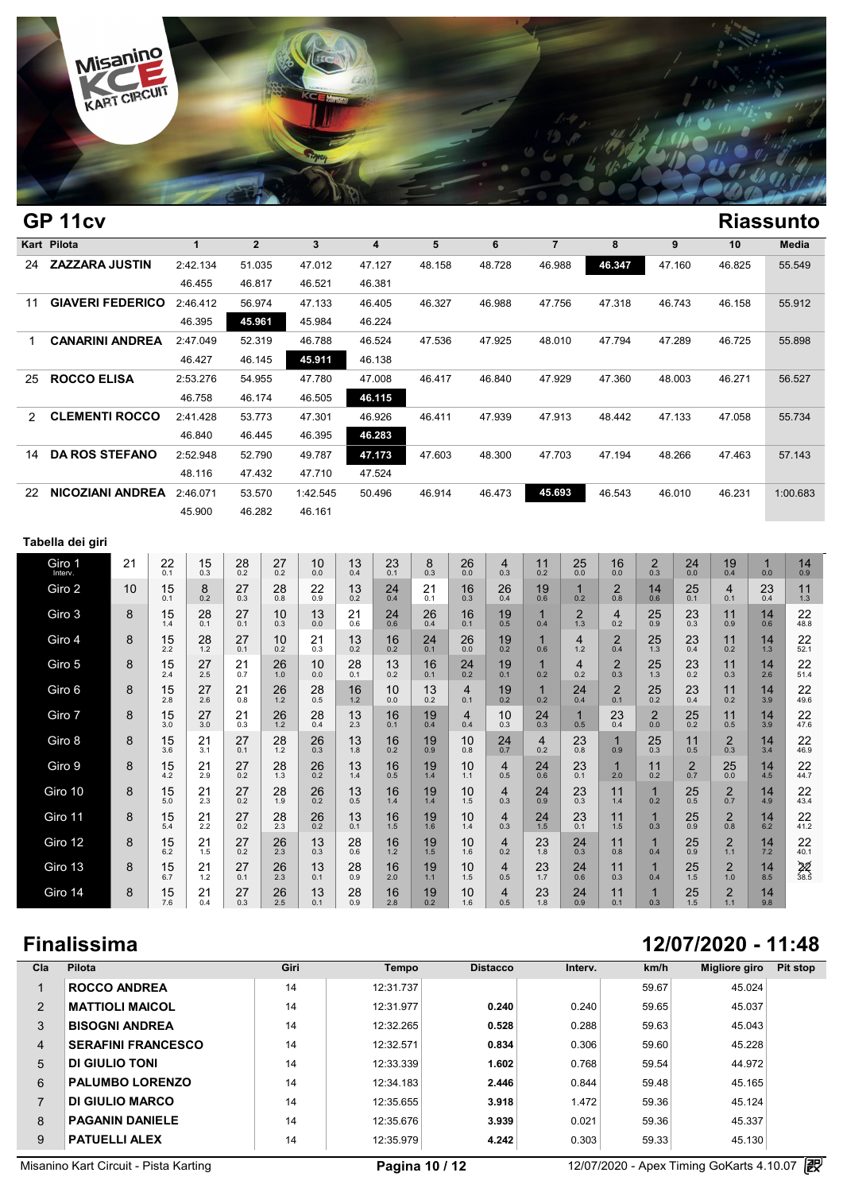

|     | GP <sub>11cv</sub>      |    |               |                     |                         |               |                  |             |                  |                |                           |                       |                     |                        |                       |                            |                       |                                |                | <b>Riassunto</b>                  |  |
|-----|-------------------------|----|---------------|---------------------|-------------------------|---------------|------------------|-------------|------------------|----------------|---------------------------|-----------------------|---------------------|------------------------|-----------------------|----------------------------|-----------------------|--------------------------------|----------------|-----------------------------------|--|
|     | Kart Pilota             |    |               | $\mathbf{1}$        | $\overline{\mathbf{2}}$ |               | 3                |             | 4                | 5              |                           | 6                     | $\overline{7}$      |                        | 8                     |                            | 9                     | 10                             |                | Media                             |  |
| 24  | <b>ZAZZARA JUSTIN</b>   |    |               | 2:42.134            | 51.035                  |               | 47.012           |             | 47.127           | 48.158         |                           | 48.728                | 46.988              |                        | 46.347                |                            | 47.160                | 46.825                         |                | 55.549                            |  |
|     |                         |    |               | 46.455              | 46.817                  |               | 46.521           |             | 46.381           |                |                           |                       |                     |                        |                       |                            |                       |                                |                |                                   |  |
| 11  | <b>GIAVERI FEDERICO</b> |    |               | 2:46.412            | 56.974                  |               | 47.133           |             | 46.405           | 46.327         |                           | 46.988                | 47.756              |                        | 47.318                |                            | 46.743                | 46.158                         |                | 55.912                            |  |
|     |                         |    |               | 46.395              | 45.961                  |               | 45.984           |             | 46.224           |                |                           |                       |                     |                        |                       |                            |                       |                                |                |                                   |  |
| 1   | <b>CANARINI ANDREA</b>  |    |               | 2:47.049            | 52.319                  |               | 46.788           |             | 46.524           | 47.536         |                           | 47.925                | 48.010              |                        | 47.794                |                            | 47.289                | 46.725                         |                | 55.898                            |  |
|     |                         |    |               | 46.427              | 46.145                  |               | 45.911           |             | 46.138           |                |                           |                       |                     |                        |                       |                            |                       |                                |                |                                   |  |
| 25  | <b>ROCCO ELISA</b>      |    |               | 2:53.276            | 54.955                  |               | 47.780           |             | 47.008           | 46.417         |                           | 46.840                | 47.929              |                        | 47.360                |                            | 48.003                | 46.271                         |                | 56.527                            |  |
|     |                         |    |               | 46.758              | 46.174                  |               | 46.505           |             | 46.115           |                |                           |                       |                     |                        |                       |                            |                       |                                |                |                                   |  |
| 2   | <b>CLEMENTI ROCCO</b>   |    |               | 2:41.428<br>46.840  | 53.773<br>46.445        |               | 47.301<br>46.395 |             | 46.926<br>46.283 | 46.411         |                           | 47.939                | 47.913              |                        | 48.442                |                            | 47.133                | 47.058                         |                | 55.734                            |  |
| 14  | <b>DA ROS STEFANO</b>   |    |               | 2:52.948            | 52.790                  |               | 49.787           |             | 47.173           | 47.603         |                           | 48.300                | 47.703              |                        | 47.194                |                            | 48.266                | 47.463                         |                | 57.143                            |  |
|     |                         |    |               | 48.116              | 47.432                  |               | 47.710           |             | 47.524           |                |                           |                       |                     |                        |                       |                            |                       |                                |                |                                   |  |
| 22. | <b>NICOZIANI ANDREA</b> |    |               | 2:46.071            | 53.570                  |               | 1:42.545         |             | 50.496           | 46.914         |                           | 46.473                | 45.693              |                        | 46.543                |                            | 46.010                | 46.231                         |                | 1:00.683                          |  |
|     |                         |    |               | 45.900              | 46.282                  |               | 46.161           |             |                  |                |                           |                       |                     |                        |                       |                            |                       |                                |                |                                   |  |
|     |                         |    |               |                     |                         |               |                  |             |                  |                |                           |                       |                     |                        |                       |                            |                       |                                |                |                                   |  |
|     | Tabella dei giri        |    |               |                     |                         |               |                  |             |                  |                |                           |                       |                     |                        |                       |                            |                       |                                |                |                                   |  |
|     | Giro 1<br>Interv.       | 21 | $^{22}_{0.1}$ | $15$ <sub>0.3</sub> | $^{28}_{0.2}$           | 27<br>0.2     | 10<br>0.0        | 13<br>0.4   | $^{23}_{0.1}$    | 8<br>0.3       | $^{26}_{0.0}$             | $^{4}_{0.3}$          | 11<br>0.2           | $^{25}_{0.0}$          | $^{16}_{0.0}$         | $_{0.3}^{2}$               | $^{24}_{0.0}$         | $^{19}_{0.4}$                  | 1<br>0.0       | 14<br>0.9                         |  |
|     | Giro 2                  | 10 | 15<br>0.1     | 8<br>0.2            | 27<br>0.3               | 28<br>0.8     | 22<br>0.9        | 13<br>0.2   | 24<br>0.4        | 21<br>0.1      | 16<br>0.3                 | 26<br>0.4             | 19<br>0.6           | $\mathbf{1}$<br>0.2    | $\overline{2}$<br>0.8 | 14<br>0.6                  | 25<br>0.1             | 4<br>0.1                       | 23<br>0.4      | 11<br>1.3                         |  |
|     | Giro 3                  | 8  | 15            | $^{28}_{0.1}$       | 27                      | 10            | 13               | 21          | 24               | 26             | 16                        | 19                    | $\mathbf{1}$        | $\overline{2}$         | 4                     | 25                         | 23                    | 11                             | 14             | 22                                |  |
|     | Giro 4                  | 8  | 1.4<br>15     | $^{28}_{1.2}$       | 0.1<br>27               | 0.3<br>10     | 0.0<br>21        | 0.6<br>13   | 0.6<br>16        | 0.4<br>24      | 0.1<br>26                 | 0.5<br>19             | 0.4<br>$\mathbf 1$  | 1.3<br>$\overline{4}$  | 0.2<br>$\overline{2}$ | 0.9<br>$25$ <sub>1.3</sub> | 0.3<br>23             | 0.9<br>11                      | 0.6            | 48.8<br>22                        |  |
|     |                         |    | 2.2           |                     | 0.1                     | 0.2           | 0.3              | 0.2         | $0.\overline{2}$ | 0.1            | $0.\overline{0}$          | $0.\overline{2}$      | 0.6                 | 1.2                    | 0.4                   |                            | 0.4                   | 0.2                            | $14 \atop 1.3$ | 52.1                              |  |
|     | Giro 5                  | 8  | 15<br>2.4     | 27<br>2.5           | 21<br>0.7               | 26<br>$1.0\,$ | 10<br>0.0        | 28<br>0.1   | 13<br>0.2        | 16<br>0.1      | $^{24}_{0.2}$             | 19<br>0.1             | $\mathbf{1}$<br>0.2 | $\overline{4}$<br>0.2  | $\overline{2}$<br>0.3 | $25$ <sub>1.3</sub>        | $^{23}_{0.2}$         | 11<br>0.3                      | 14<br>2.6      | 22<br>51.4                        |  |
|     | Giro 6                  | 8  | 15<br>2.8     | 27<br>2.6           | 21<br>0.8               | 26<br>1.2     | 28<br>0.5        | 16<br>$1.2$ | 10<br>0.0        | 13<br>0.2      | $\overline{4}$<br>0.1     | 19<br>0.2             | $\mathbf{1}$<br>0.2 | 24<br>0.4              | $\overline{2}$<br>0.1 | 25<br>0.2                  | 23<br>0.4             | 11<br>0.2                      | 14<br>3.9      | 22<br>49.6                        |  |
|     | Giro 7                  | 8  | 15<br>3.0     | 27<br>3.0           | 21<br>0.3               | 26<br>$1.2\,$ | 28<br>0.4        | 13<br>2.3   | 16<br>0.1        | 19<br>0.4      | $\overline{4}$<br>$0.4\,$ | 10<br>0.3             | 24<br>$0.3\,$       | $\mathbf 1$<br>$0.5\,$ | 23<br>0.4             | $\overline{2}$<br>$0.0\,$  | 25<br>0.2             | 11<br>0.5                      | 14<br>3.9      | 22<br>47.6                        |  |
|     | Giro 8                  | 8  | 15            | $\frac{21}{3.1}$    | 27                      | $^{28}_{1.2}$ | 26               | 13          | 16               | 19             | 10                        | 24                    | $\overline{4}$      | 23                     | $\mathbf 1$           | $25$ <sub>0.3</sub>        | 11                    | $^{2}_{0.3}$                   | 14             | 22                                |  |
|     | Giro 9                  | 8  | 3.6<br>15     | 21                  | 0.1<br>27               | 28            | 0.3<br>26        | 1.8<br>13   | 0.2<br>16        | 0.9<br>19      | $0.8\,$<br>10             | 0.7<br>4              | 0.2<br>24           | 0.8<br>23              | 0.9<br>$\mathbf{1}$   | 11                         | 0.5<br>$\overline{2}$ | 25                             | 3.4<br>14      | 46.9<br>22                        |  |
|     |                         |    | 4.2           | 2.9                 | 0.2                     | $1.3$         | 0.2              | 1.4         | 0.5              | 1.4            | 1.1                       | 0.5                   | 0.6                 | 0.1                    | 2.0                   | 0.2                        | 0.7                   | $0.\overline{0}$               | 4.5            | 44.7                              |  |
|     | Giro 10                 | 8  | 15<br>5.0     | 21<br>2.3           | 27<br>0.2               | 28<br>1.9     | 26<br>0.2        | 13<br>0.5   | 16<br>1.4        | 19<br>1.4      | 10<br>1.5                 | 4<br>0.3              | 24<br>0.9           | 23<br>0.3              | 11<br>1.4             | $\mathbf{1}$<br>0.2        | 25<br>0.5             | $\overline{\mathbf{c}}$<br>0.7 | 14<br>4.9      | 22<br>43.4                        |  |
|     | Giro 11                 | 8  | 15<br>5.4     | 21<br>2.2           | 27<br>0.2               | 28<br>2.3     | 26<br>0.2        | 13<br>0.1   | 16<br>1.5        | 19<br>1.6      | 10<br>1.4                 | 4<br>0.3              | 24<br>1.5           | 23<br>0.1              | 11<br>1.5             | $\mathbf 1$<br>0.3         | 25<br>0.9             | $^{2}_{0.8}$                   | 14<br>6.2      | 22<br>41.2                        |  |
|     | Giro 12                 | 8  | 15            | 21                  | 27                      | 26            | 13               | 28          | 16               | $19 \atop 1.5$ | 10                        | 4                     | 23                  | 24                     | 11                    | $\overline{1}$             | 25                    | $\frac{2}{1.1}$                | $14 \atop 7.2$ | 22                                |  |
|     | Giro 13                 | 8  | 6.2<br>15     | 1.5<br>21           | 0.2<br>27               | 2.3<br>26     | 0.3<br>13        | 0.6<br>28   | $1.2$<br>16      | 19             | 1.6<br>10                 | 0.2<br>$\overline{4}$ | 1.8<br>23           | 0.3<br>24              | 0.8<br>11             | 0.4<br>$\mathbf 1$         | 0.9<br>25             | $\overline{2}$                 | 14             | 40.1<br>$\frac{2}{\frac{38.5}{}}$ |  |
|     |                         |    | 6.7           | 1.2                 | 0.1                     | 2.3           | 0.1              | 0.9         | 2.0              | 1.1            | 1.5                       | 0.5                   | 1.7                 | 0.6                    | 0.3                   | 0.4                        | 1.5                   | 1.0                            | 8.5            |                                   |  |
|     | Giro 14                 | 8  | 15<br>7.6     | 21<br>0.4           | 27<br>0.3               | 26<br>2.5     | 13<br>0.1        | 28<br>0.9   | 16<br>2.8        | 19<br>0.2      | 10<br>1.6                 | 4<br>0.5              | 23<br>1.8           | 24<br>0.9              | 11<br>0.1             | $\overline{1}$<br>0.3      | 25<br>1.5             | $\overline{2}$<br>1.1          | 14<br>9.8      |                                   |  |

### **Cla Pilota Giri Tempo Distacco Interv. km/h Migliore giro Pit stop** 1 **ROCCO ANDREA** 14 14 12:31.737 59.67 59.67 45.024 2 **MATTIOLI MAICOL** 14 12:31.977 **0.240** 0.240 59.65 45.037 3 **BISOGNI ANDREA** 14 12:32.265 **0.528** 0.288 59.63 45.043 4 **SERAFINI FRANCESCO** 14 12:32.571 **0.834** 0.306 59.60 45.228 5 **DI GIULIO TONI** 14 12:33.339 **1.602** 0.768 59.54 44.972 6 **PALUMBO LORENZO** 14 12:34.183 **2.446** 0.844 59.48 45.165 7 **DI GIULIO MARCO** 14 12:35.655 **3.918** 1.472 59.36 45.124 8 **PAGANIN DANIELE** 14 12:35.676 **3.939** 0.021 59.36 45.337 9 **PATUELLI ALEX** 14 12:35.979 **4.242** 0.303 59.33 45.130

## **Finalissima 12/07/2020 - 11:48**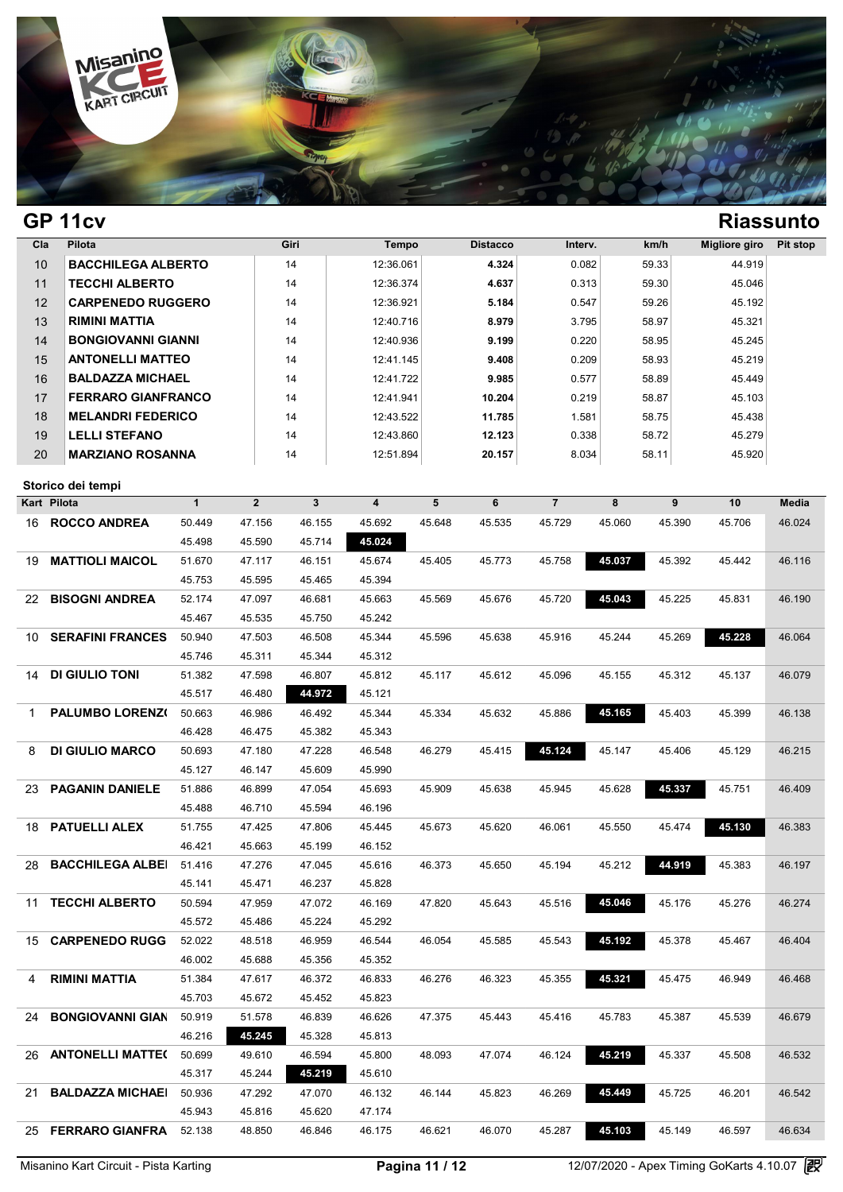

| Cla | Pilota                    | Giri | Tempo     | <b>Distacco</b> | Interv. | km/h  | Migliore giro | Pit stop |
|-----|---------------------------|------|-----------|-----------------|---------|-------|---------------|----------|
| 10  | <b>BACCHILEGA ALBERTO</b> | 14   | 12:36.061 | 4.324           | 0.082   | 59.33 | 44.919        |          |
| 11  | <b>TECCHI ALBERTO</b>     | 14   | 12:36.374 | 4.637           | 0.313   | 59.30 | 45.046        |          |
| 12  | <b>CARPENEDO RUGGERO</b>  | 14   | 12:36.921 | 5.184           | 0.547   | 59.26 | 45.192        |          |
| 13  | RIMINI MATTIA             | 14   | 12:40.716 | 8.979           | 3.795   | 58.97 | 45.321        |          |
| 14  | <b>BONGIOVANNI GIANNI</b> | 14   | 12:40.936 | 9.199           | 0.220   | 58.95 | 45.245        |          |
| 15  | <b>ANTONELLI MATTEO</b>   | 14   | 12:41.145 | 9.408           | 0.209   | 58.93 | 45.219        |          |
| 16  | <b>BALDAZZA MICHAEL</b>   | 14   | 12:41.722 | 9.985           | 0.577   | 58.89 | 45.449        |          |
| 17  | <b>FERRARO GIANFRANCO</b> | 14   | 12:41.941 | 10.204          | 0.219   | 58.87 | 45.103        |          |
| 18  | <b>MELANDRI FEDERICO</b>  | 14   | 12:43.522 | 11.785          | 1.581   | 58.75 | 45.438        |          |
| 19  | <b>LELLI STEFANO</b>      | 14   | 12:43.860 | 12.123          | 0.338   | 58.72 | 45.279        |          |
| 20  | <b>MARZIANO ROSANNA</b>   | 14   | 12:51.894 | 20.157          | 8.034   | 58.11 | 45.920        |          |

| Storico dei tempi             |              |                |              |                         |        |        |                |        |        |        |              |
|-------------------------------|--------------|----------------|--------------|-------------------------|--------|--------|----------------|--------|--------|--------|--------------|
| Kart Pilota                   | $\mathbf{1}$ | $\overline{2}$ | $\mathbf{3}$ | $\overline{\mathbf{4}}$ | 5      | 6      | $\overline{7}$ | 8      | 9      | 10     | <b>Media</b> |
| <b>ROCCO ANDREA</b><br>16     | 50.449       | 47.156         | 46.155       | 45.692                  | 45.648 | 45.535 | 45.729         | 45.060 | 45.390 | 45.706 | 46.024       |
|                               | 45.498       | 45.590         | 45.714       | 45.024                  |        |        |                |        |        |        |              |
| <b>MATTIOLI MAICOL</b><br>19  | 51.670       | 47.117         | 46.151       | 45.674                  | 45.405 | 45.773 | 45.758         | 45.037 | 45.392 | 45.442 | 46.116       |
|                               | 45.753       | 45.595         | 45.465       | 45.394                  |        |        |                |        |        |        |              |
| <b>BISOGNI ANDREA</b><br>22   | 52.174       | 47.097         | 46.681       | 45.663                  | 45.569 | 45.676 | 45.720         | 45.043 | 45.225 | 45.831 | 46.190       |
|                               | 45.467       | 45.535         | 45.750       | 45.242                  |        |        |                |        |        |        |              |
| <b>SERAFINI FRANCES</b><br>10 | 50.940       | 47.503         | 46.508       | 45.344                  | 45.596 | 45.638 | 45.916         | 45.244 | 45.269 | 45.228 | 46.064       |
|                               | 45.746       | 45.311         | 45.344       | 45.312                  |        |        |                |        |        |        |              |
| DI GIULIO TONI<br>14          | 51.382       | 47.598         | 46.807       | 45.812                  | 45.117 | 45.612 | 45.096         | 45.155 | 45.312 | 45.137 | 46.079       |
|                               | 45.517       | 46.480         | 44.972       | 45.121                  |        |        |                |        |        |        |              |
| <b>PALUMBO LORENZO</b><br>1   | 50.663       | 46.986         | 46.492       | 45.344                  | 45.334 | 45.632 | 45.886         | 45.165 | 45.403 | 45.399 | 46.138       |
|                               | 46.428       | 46.475         | 45.382       | 45.343                  |        |        |                |        |        |        |              |
| <b>DI GIULIO MARCO</b><br>8   | 50.693       | 47.180         | 47.228       | 46.548                  | 46.279 | 45.415 | 45.124         | 45.147 | 45.406 | 45.129 | 46.215       |
|                               | 45.127       | 46.147         | 45.609       | 45.990                  |        |        |                |        |        |        |              |
| <b>PAGANIN DANIELE</b><br>23  | 51.886       | 46.899         | 47.054       | 45.693                  | 45.909 | 45.638 | 45.945         | 45.628 | 45.337 | 45.751 | 46.409       |
|                               | 45.488       | 46.710         | 45.594       | 46.196                  |        |        |                |        |        |        |              |
| <b>PATUELLI ALEX</b><br>18    | 51.755       | 47.425         | 47.806       | 45.445                  | 45.673 | 45.620 | 46.061         | 45.550 | 45.474 | 45.130 | 46.383       |
|                               | 46.421       | 45.663         | 45.199       | 46.152                  |        |        |                |        |        |        |              |
| <b>BACCHILEGA ALBEI</b><br>28 | 51.416       | 47.276         | 47.045       | 45.616                  | 46.373 | 45.650 | 45.194         | 45.212 | 44.919 | 45.383 | 46.197       |
|                               | 45.141       | 45.471         | 46.237       | 45.828                  |        |        |                |        |        |        |              |
| <b>TECCHI ALBERTO</b><br>11   | 50.594       | 47.959         | 47.072       | 46.169                  | 47.820 | 45.643 | 45.516         | 45.046 | 45.176 | 45.276 | 46.274       |
|                               | 45.572       | 45.486         | 45.224       | 45.292                  |        |        |                |        |        |        |              |
| <b>CARPENEDO RUGGI</b><br>15  | 52.022       | 48.518         | 46.959       | 46.544                  | 46.054 | 45.585 | 45.543         | 45.192 | 45.378 | 45.467 | 46.404       |
|                               | 46.002       | 45.688         | 45.356       | 45.352                  |        |        |                |        |        |        |              |
| <b>RIMINI MATTIA</b><br>4     | 51.384       | 47.617         | 46.372       | 46.833                  | 46.276 | 46.323 | 45.355         | 45.321 | 45.475 | 46.949 | 46.468       |
|                               | 45.703       | 45.672         | 45.452       | 45.823                  |        |        |                |        |        |        |              |
| <b>BONGIOVANNI GIAN</b><br>24 | 50.919       | 51.578         | 46.839       | 46.626                  | 47.375 | 45.443 | 45.416         | 45.783 | 45.387 | 45.539 | 46.679       |
|                               | 46.216       | 45.245         | 45.328       | 45.813                  |        |        |                |        |        |        |              |
| <b>ANTONELLI MATTE(</b><br>26 | 50.699       | 49.610         | 46.594       | 45.800                  | 48.093 | 47.074 | 46.124         | 45.219 | 45.337 | 45.508 | 46.532       |
|                               | 45.317       | 45.244         | 45.219       | 45.610                  |        |        |                |        |        |        |              |
| <b>BALDAZZA MICHAEL</b><br>21 | 50.936       | 47.292         | 47.070       | 46.132                  | 46.144 | 45.823 | 46.269         | 45.449 | 45.725 | 46.201 | 46.542       |
|                               | 45.943       | 45.816         | 45.620       | 47.174                  |        |        |                |        |        |        |              |
| 25<br><b>FERRARO GIANFRA</b>  | 52.138       | 48.850         | 46.846       | 46.175                  | 46.621 | 46.070 | 45.287         | 45.103 | 45.149 | 46.597 | 46.634       |